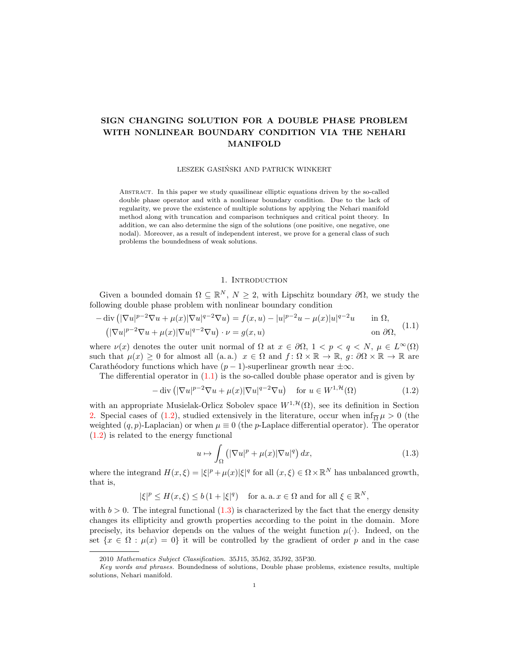# SIGN CHANGING SOLUTION FOR A DOUBLE PHASE PROBLEM WITH NONLINEAR BOUNDARY CONDITION VIA THE NEHARI MANIFOLD

### LESZEK GASIŃSKI AND PATRICK WINKERT

Abstract. In this paper we study quasilinear elliptic equations driven by the so-called double phase operator and with a nonlinear boundary condition. Due to the lack of regularity, we prove the existence of multiple solutions by applying the Nehari manifold method along with truncation and comparison techniques and critical point theory. In addition, we can also determine the sign of the solutions (one positive, one negative, one nodal). Moreover, as a result of independent interest, we prove for a general class of such problems the boundedness of weak solutions.

### <span id="page-0-1"></span>1. INTRODUCTION

Given a bounded domain  $\Omega \subseteq \mathbb{R}^N$ ,  $N \geq 2$ , with Lipschitz boundary  $\partial \Omega$ , we study the following double phase problem with nonlinear boundary condition

<span id="page-0-0"></span>
$$
-\operatorname{div}\left(|\nabla u|^{p-2}\nabla u + \mu(x)|\nabla u|^{q-2}\nabla u\right) = f(x,u) - |u|^{p-2}u - \mu(x)|u|^{q-2}u \quad \text{in } \Omega,
$$
  

$$
\left(|\nabla u|^{p-2}\nabla u + \mu(x)|\nabla u|^{q-2}\nabla u\right) \cdot \nu = g(x,u) \quad \text{on } \partial\Omega,
$$
 (1.1)

where  $\nu(x)$  denotes the outer unit normal of  $\Omega$  at  $x \in \partial \Omega$ ,  $1 < p < q < N$ ,  $\mu \in L^{\infty}(\Omega)$ such that  $\mu(x) \geq 0$  for almost all (a. a.)  $x \in \Omega$  and  $f: \Omega \times \mathbb{R} \to \mathbb{R}$ ,  $g: \partial \Omega \times \mathbb{R} \to \mathbb{R}$  are Carathéodory functions which have  $(p - 1)$ -superlinear growth near  $\pm \infty$ .

The differential operator in  $(1.1)$  is the so-called double phase operator and is given by

$$
-\operatorname{div}\left(|\nabla u|^{p-2}\nabla u + \mu(x)|\nabla u|^{q-2}\nabla u\right) \quad \text{for } u \in W^{1,\mathcal{H}}(\Omega)
$$
 (1.2)

with an appropriate Musielak-Orlicz Sobolev space  $W^{1, \mathcal{H}}(\Omega)$ , see its definition in Section [2.](#page-2-0) Special cases of [\(1.2\)](#page-0-1), studied extensively in the literature, occur when  $\inf_{\overline{\Omega}} \mu > 0$  (the weighted  $(q, p)$ -Laplacian) or when  $\mu \equiv 0$  (the p-Laplace differential operator). The operator [\(1.2\)](#page-0-1) is related to the energy functional

<span id="page-0-2"></span>
$$
u \mapsto \int_{\Omega} \left( |\nabla u|^p + \mu(x) |\nabla u|^q \right) dx, \tag{1.3}
$$

where the integrand  $H(x,\xi) = |\xi|^p + \mu(x)|\xi|^q$  for all  $(x,\xi) \in \Omega \times \mathbb{R}^N$  has unbalanced growth, that is,

$$
|\xi|^p \le H(x,\xi) \le b(1+|\xi|^q)
$$
 for a. a.  $x \in \Omega$  and for all  $\xi \in \mathbb{R}^N$ ,

with  $b > 0$ . The integral functional  $(1.3)$  is characterized by the fact that the energy density changes its ellipticity and growth properties according to the point in the domain. More precisely, its behavior depends on the values of the weight function  $\mu(\cdot)$ . Indeed, on the set  $\{x \in \Omega : \mu(x) = 0\}$  it will be controlled by the gradient of order p and in the case

<sup>2010</sup> Mathematics Subject Classification. 35J15, 35J62, 35J92, 35P30.

Key words and phrases. Boundedness of solutions, Double phase problems, existence results, multiple solutions, Nehari manifold.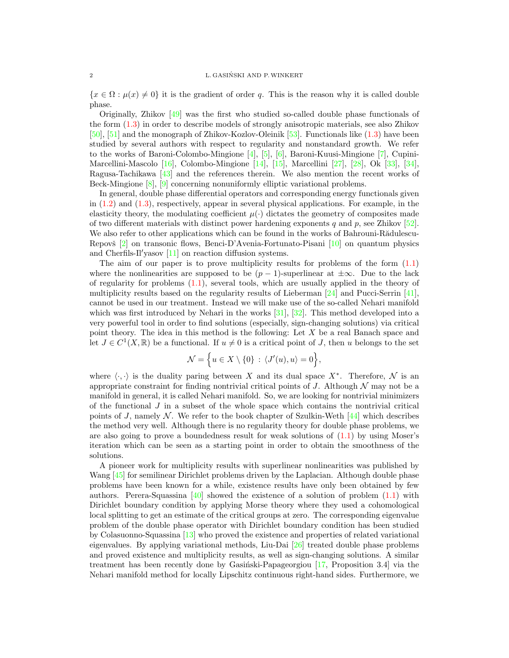${x \in \Omega : \mu(x) \neq 0}$  it is the gradient of order q. This is the reason why it is called double phase.

Originally, Zhikov [\[49\]](#page-22-0) was the first who studied so-called double phase functionals of the form [\(1.3\)](#page-0-2) in order to describe models of strongly anisotropic materials, see also Zhikov [\[50\]](#page-22-1), [\[51\]](#page-22-2) and the monograph of Zhikov-Kozlov-Oleinik [\[53\]](#page-22-3). Functionals like [\(1.3\)](#page-0-2) have been studied by several authors with respect to regularity and nonstandard growth. We refer to the works of Baroni-Colombo-Mingione [\[4\]](#page-21-0), [\[5\]](#page-21-1), [\[6\]](#page-21-2), Baroni-Kuusi-Mingione [\[7\]](#page-21-3), Cupini-Marcellini-Mascolo [\[16\]](#page-21-4), Colombo-Mingione [\[14\]](#page-21-5), [\[15\]](#page-21-6), Marcellini [\[27\]](#page-22-4), [\[28\]](#page-22-5), Ok [\[33\]](#page-22-6), [\[34\]](#page-22-7), Ragusa-Tachikawa [\[43\]](#page-22-8) and the references therein. We also mention the recent works of Beck-Mingione [\[8\]](#page-21-7), [\[9\]](#page-21-8) concerning nonuniformly elliptic variational problems.

In general, double phase differential operators and corresponding energy functionals given in  $(1.2)$  and  $(1.3)$ , respectively, appear in several physical applications. For example, in the elasticity theory, the modulating coefficient  $\mu(\cdot)$  dictates the geometry of composites made of two different materials with distinct power hardening exponents q and p, see Zhikov  $[52]$ . We also refer to other applications which can be found in the works of Bahrouni-Rădulescu-Repovš  $[2]$  on transonic flows, Benci-D'Avenia-Fortunato-Pisani  $[10]$  on quantum physics and Cherfils-Il'yasov  $[11]$  on reaction diffusion systems.

The aim of our paper is to prove multiplicity results for problems of the form  $(1.1)$ where the nonlinearities are supposed to be  $(p-1)$ -superlinear at  $\pm \infty$ . Due to the lack of regularity for problems [\(1.1\)](#page-0-0), several tools, which are usually applied in the theory of multiplicity results based on the regularity results of Lieberman [\[24\]](#page-22-10) and Pucci-Serrin [\[41\]](#page-22-11), cannot be used in our treatment. Instead we will make use of the so-called Nehari manifold which was first introduced by Nehari in the works [\[31\]](#page-22-12), [\[32\]](#page-22-13). This method developed into a very powerful tool in order to find solutions (especially, sign-changing solutions) via critical point theory. The idea in this method is the following: Let  $X$  be a real Banach space and let  $J \in C^1(X,\mathbb{R})$  be a functional. If  $u \neq 0$  is a critical point of J, then u belongs to the set

$$
\mathcal{N} = \Big\{ u \in X \setminus \{0\} \, : \, \langle J'(u), u \rangle = 0 \Big\},
$$

where  $\langle \cdot, \cdot \rangle$  is the duality paring between X and its dual space X<sup>∗</sup>. Therefore, N is an appropriate constraint for finding nontrivial critical points of J. Although  $\mathcal N$  may not be a manifold in general, it is called Nehari manifold. So, we are looking for nontrivial minimizers of the functional  $J$  in a subset of the whole space which contains the nontrivial critical points of J, namely N. We refer to the book chapter of Szulkin-Weth  $[44]$  which describes the method very well. Although there is no regularity theory for double phase problems, we are also going to prove a boundedness result for weak solutions of  $(1.1)$  by using Moser's iteration which can be seen as a starting point in order to obtain the smoothness of the solutions.

A pioneer work for multiplicity results with superlinear nonlinearities was published by Wang [\[45\]](#page-22-15) for semilinear Dirichlet problems driven by the Laplacian. Although double phase problems have been known for a while, existence results have only been obtained by few authors. Perera-Squassina  $[40]$  showed the existence of a solution of problem  $(1.1)$  with Dirichlet boundary condition by applying Morse theory where they used a cohomological local splitting to get an estimate of the critical groups at zero. The corresponding eigenvalue problem of the double phase operator with Dirichlet boundary condition has been studied by Colasuonno-Squassina [\[13\]](#page-21-12) who proved the existence and properties of related variational eigenvalues. By applying variational methods, Liu-Dai [\[26\]](#page-22-17) treated double phase problems and proved existence and multiplicity results, as well as sign-changing solutions. A similar treatment has been recently done by Gasiński-Papageorgiou  $[17,$  Proposition 3.4 via the Nehari manifold method for locally Lipschitz continuous right-hand sides. Furthermore, we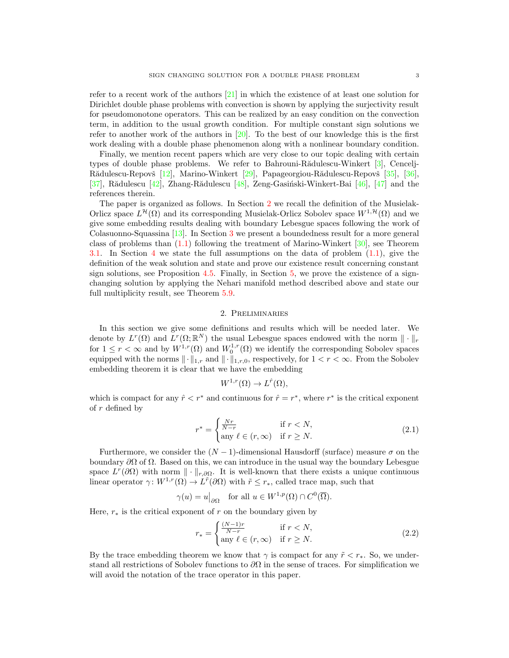refer to a recent work of the authors [\[21\]](#page-21-14) in which the existence of at least one solution for Dirichlet double phase problems with convection is shown by applying the surjectivity result for pseudomonotone operators. This can be realized by an easy condition on the convection term, in addition to the usual growth condition. For multiple constant sign solutions we refer to another work of the authors in  $[20]$ . To the best of our knowledge this is the first work dealing with a double phase phenomenon along with a nonlinear boundary condition.

Finally, we mention recent papers which are very close to our topic dealing with certain types of double phase problems. We refer to Bahrouni-R $\ddot{\text{add}}$ ulescu-Winkert [\[3\]](#page-21-16), Cencelj-Rădulescu-Repovš [\[12\]](#page-21-17), Marino-Winkert [\[29\]](#page-22-18), Papageorgiou-Rădulescu-Repovš [\[35\]](#page-22-19), [\[36\]](#page-22-20), [\[37\]](#page-22-21), Rădulescu  $[42]$ , Zhang-Rădulescu  $[48]$ , Zeng-Gasiński-Winkert-Bai [\[46\]](#page-22-24), [\[47\]](#page-22-25) and the references therein.

The paper is organized as follows. In Section [2](#page-2-0) we recall the definition of the Musielak-Orlicz space  $L^{\mathcal{H}}(\Omega)$  and its corresponding Musielak-Orlicz Sobolev space  $W^{1,\mathcal{H}}(\Omega)$  and we give some embedding results dealing with boundary Lebesgue spaces following the work of Colasuonno-Squassina [\[13\]](#page-21-12). In Section [3](#page-5-0) we present a boundedness result for a more general class of problems than  $(1.1)$  following the treatment of Marino-Winkert  $[30]$ , see Theorem [3.1.](#page-6-0) In Section [4](#page-6-1) we state the full assumptions on the data of problem [\(1.1\)](#page-0-0), give the definition of the weak solution and state and prove our existence result concerning constant sign solutions, see Proposition [4.5.](#page-14-0) Finally, in Section [5,](#page-14-1) we prove the existence of a signchanging solution by applying the Nehari manifold method described above and state our full multiplicity result, see Theorem [5.9.](#page-21-18)

### 2. Preliminaries

<span id="page-2-0"></span>In this section we give some definitions and results which will be needed later. We denote by  $L^r(\Omega)$  and  $L^r(\Omega;\mathbb{R}^N)$  the usual Lebesgue spaces endowed with the norm  $\|\cdot\|_r$ for  $1 \leq r < \infty$  and by  $W^{1,r}(\Omega)$  and  $W_0^{1,r}(\Omega)$  we identify the corresponding Sobolev spaces equipped with the norms  $\|\cdot\|_{1,r}$  and  $\|\cdot\|_{1,r,0}$ , respectively, for  $1 < r < \infty$ . From the Sobolev embedding theorem it is clear that we have the embedding

<span id="page-2-1"></span>
$$
W^{1,r}(\Omega) \to L^{\hat{r}}(\Omega),
$$

which is compact for any  $\hat{r} < r^*$  and continuous for  $\hat{r} = r^*$ , where  $r^*$  is the critical exponent of r defined by

$$
r^* = \begin{cases} \frac{Nr}{N-r} & \text{if } r < N, \\ \text{any } \ell \in (r, \infty) & \text{if } r \ge N. \end{cases} \tag{2.1}
$$

Furthermore, we consider the  $(N-1)$ -dimensional Hausdorff (surface) measure  $\sigma$  on the boundary  $\partial\Omega$  of  $\Omega$ . Based on this, we can introduce in the usual way the boundary Lebesgue space  $L^r(\partial\Omega)$  with norm  $\|\cdot\|_{r,\partial\Omega}$ . It is well-known that there exists a unique continuous linear operator  $\gamma: W^{1,r}(\Omega) \to L^{\tilde{r}}(\partial \Omega)$  with  $\tilde{r} \leq r_*$ , called trace map, such that

$$
\gamma(u) = u|_{\partial\Omega}
$$
 for all  $u \in W^{1,p}(\Omega) \cap C^0(\overline{\Omega})$ .

Here,  $r_*$  is the critical exponent of r on the boundary given by

<span id="page-2-2"></span>
$$
r_* = \begin{cases} \frac{(N-1)r}{N-r} & \text{if } r < N, \\ \text{any } \ell \in (r, \infty) & \text{if } r \ge N. \end{cases}
$$
 (2.2)

By the trace embedding theorem we know that  $\gamma$  is compact for any  $\tilde{r} < r_*$ . So, we understand all restrictions of Sobolev functions to  $\partial\Omega$  in the sense of traces. For simplification we will avoid the notation of the trace operator in this paper.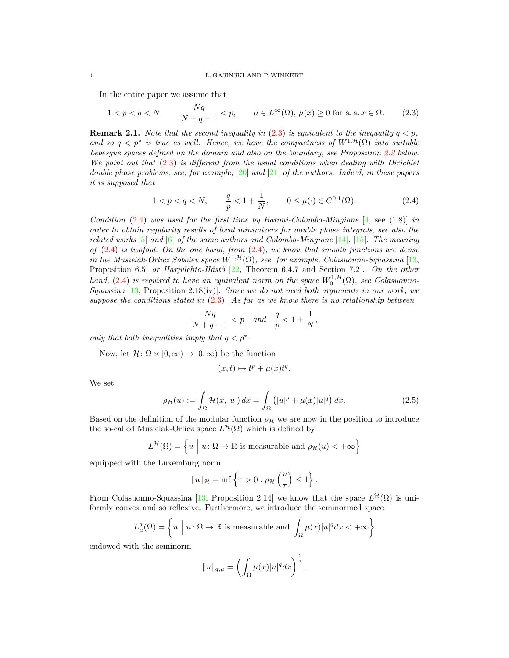#### 4 L. GASINSKI AND P.WINKERT ´

In the entire paper we assume that

$$
1 < p < q < N, \qquad \frac{Nq}{N+q-1} < p, \qquad \mu \in L^{\infty}(\Omega), \, \mu(x) \ge 0 \text{ for a. a. } x \in \Omega. \tag{2.3}
$$

**Remark 2.1.** Note that the second inequality in [\(2.3\)](#page-3-0) is equivalent to the inequality  $q < p_*$ and so  $q < p^*$  is true as well. Hence, we have the compactness of  $W^{1,\mathcal{H}}(\Omega)$  into suitable Lebesgue spaces defined on the domain and also on the boundary, see Proposition [2.2](#page-4-0) below. We point out that  $(2.3)$  is different from the usual conditions when dealing with Dirichlet double phase problems, see, for example,  $[20]$  and  $[21]$  of the authors. Indeed, in these papers it is supposed that

<span id="page-3-0"></span>
$$
1 < p < q < N, \qquad \frac{q}{p} < 1 + \frac{1}{N}, \qquad 0 \le \mu(\cdot) \in C^{0,1}(\overline{\Omega}).
$$
 (2.4)

Condition  $(2.4)$  was used for the first time by Baroni-Colombo-Mingione [\[4,](#page-21-0) see (1.8)] in order to obtain regularity results of local minimizers for double phase integrals, see also the related works  $[5]$  and  $[6]$  of the same authors and Colombo-Mingione  $[14]$ ,  $[15]$ . The meaning of  $(2.4)$  is twofold. On the one hand, from  $(2.4)$ , we know that smooth functions are dense in the Musielak-Orlicz Sobolev space  $W^{1,\mathcal{H}}(\Omega)$ , see, for example, Colasuonno-Squassina [\[13,](#page-21-12) Proposition 6.5] or Harjulehto-Hästö  $[22,$  Theorem 6.4.7 and Section 7.2]. On the other hand, [\(2.4\)](#page-3-1) is required to have an equivalent norm on the space  $W_0^{1,\mathcal{H}}(\Omega)$ , see Colasuonno-Squassina  $[13,$  Proposition 2.18(iv)]. Since we do not need both arguments in our work, we suppose the conditions stated in  $(2.3)$ . As far as we know there is no relationship between

<span id="page-3-1"></span>
$$
\frac{Nq}{N+q-1} < p \quad \text{and} \quad \frac{q}{p} < 1 + \frac{1}{N},
$$

only that both inequalities imply that  $q < p^*$ .

Now, let  $\mathcal{H} \colon \Omega \times [0, \infty) \to [0, \infty)$  be the function

<span id="page-3-2"></span>
$$
(x,t)\mapsto t^p+\mu(x)t^q.
$$

We set

$$
\rho_{\mathcal{H}}(u) := \int_{\Omega} \mathcal{H}(x, |u|) dx = \int_{\Omega} (|u|^p + \mu(x)|u|^q) dx.
$$
 (2.5)

Based on the definition of the modular function  $\rho_{\mathcal{H}}$  we are now in the position to introduce the so-called Musielak-Orlicz space  $L^{\mathcal{H}}(\Omega)$  which is defined by

$$
L^{\mathcal{H}}(\Omega) = \left\{ u \mid u \colon \Omega \to \mathbb{R} \text{ is measurable and } \rho_{\mathcal{H}}(u) < +\infty \right\}
$$

equipped with the Luxemburg norm

$$
||u||_{\mathcal{H}} = \inf \left\{ \tau > 0 : \rho_{\mathcal{H}}\left(\frac{u}{\tau}\right) \leq 1 \right\}.
$$

From Colasuonno-Squassina [\[13,](#page-21-12) Proposition 2.14] we know that the space  $L^{\mathcal{H}}(\Omega)$  is uniformly convex and so reflexive. Furthermore, we introduce the seminormed space

$$
L^q_\mu(\Omega) = \left\{ u \mid u \colon \Omega \to \mathbb{R} \text{ is measurable and } \int_{\Omega} \mu(x) |u|^q dx < +\infty \right\}
$$

endowed with the seminorm

$$
||u||_{q,\mu} = \left(\int_{\Omega} \mu(x)|u|^q dx\right)^{\frac{1}{q}}.
$$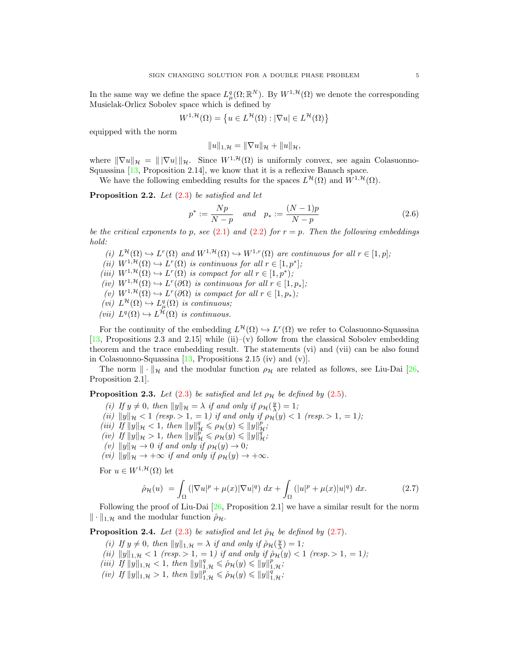In the same way we define the space  $L^q_\mu(\Omega;\mathbb{R}^N)$ . By  $W^{1,\mathcal{H}}(\Omega)$  we denote the corresponding Musielak-Orlicz Sobolev space which is defined by

$$
W^{1,\mathcal{H}}(\Omega) = \left\{ u \in L^{\mathcal{H}}(\Omega) : |\nabla u| \in L^{\mathcal{H}}(\Omega) \right\}
$$

equipped with the norm

<span id="page-4-2"></span>
$$
||u||_{1,\mathcal{H}} = ||\nabla u||_{\mathcal{H}} + ||u||_{\mathcal{H}},
$$

where  $\|\nabla u\|_{\mathcal{H}} = \|\nabla u\|_{\mathcal{H}}$ . Since  $W^{1,\mathcal{H}}(\Omega)$  is uniformly convex, see again Colasuonno-Squassina [\[13,](#page-21-12) Proposition 2.14], we know that it is a reflexive Banach space.

We have the following embedding results for the spaces  $L^{\mathcal{H}}(\Omega)$  and  $W^{1,\mathcal{H}}(\Omega)$ .

<span id="page-4-0"></span>Proposition 2.2. Let  $(2.3)$  be satisfied and let

$$
p^* := \frac{Np}{N-p} \quad and \quad p_* := \frac{(N-1)p}{N-p} \tag{2.6}
$$

be the critical exponents to p, see [\(2.1\)](#page-2-1) and [\(2.2\)](#page-2-2) for  $r = p$ . Then the following embeddings hold:

- (i)  $L^{\mathcal{H}}(\Omega) \hookrightarrow L^{r}(\Omega)$  and  $W^{1,\mathcal{H}}(\Omega) \hookrightarrow W^{1,r}(\Omega)$  are continuous for all  $r \in [1,p]$ ;
- (ii)  $W^{1,\mathcal{H}}(\Omega) \hookrightarrow L^r(\Omega)$  is continuous for all  $r \in [1,p^*];$
- (iii)  $W^{1,\mathcal{H}}(\Omega) \hookrightarrow L^r(\Omega)$  is compact for all  $r \in [1,p^*);$
- (iv)  $W^{1,\mathcal{H}}(\Omega) \hookrightarrow L^r(\partial \Omega)$  is continuous for all  $r \in [1,p_*];$
- (v)  $W^{1,\mathcal{H}}(\Omega) \hookrightarrow L^r(\partial \Omega)$  is compact for all  $r \in [1, p_*)$ ;
- (*vi*)  $L^{\mathcal{H}}(\Omega) \hookrightarrow L_{\mu}^{q}(\Omega)$  *is continuous*;
- (vii)  $L^q(\Omega) \hookrightarrow L^{\mathcal{H}}(\Omega)$  is continuous.

For the continuity of the embedding  $L^{\mathcal{H}}(\Omega) \hookrightarrow L^{r}(\Omega)$  we refer to Colasuonno-Squassina  $[13,$  Propositions 2.3 and 2.15] while (ii)–(v) follow from the classical Sobolev embedding theorem and the trace embedding result. The statements (vi) and (vii) can be also found in Colasuonno-Squassina [\[13,](#page-21-12) Propositions 2.15 (iv) and (v)].

The norm  $\|\cdot\|_{\mathcal{H}}$  and the modular function  $\rho_{\mathcal{H}}$  are related as follows, see Liu-Dai [\[26,](#page-22-17) Proposition 2.1].

<span id="page-4-4"></span>**Proposition 2.3.** Let [\(2.3\)](#page-3-0) be satisfied and let  $\rho_{\mathcal{H}}$  be defined by [\(2.5\)](#page-3-2).

- (i) If  $y \neq 0$ , then  $||y||_{\mathcal{H}} = \lambda$  if and only if  $\rho_{\mathcal{H}}(\frac{y}{\lambda}) = 1$ ;
- (ii)  $||y||_{\mathcal{H}} < 1$  (resp.  $> 1, = 1$ ) if and only if  $\rho_{\mathcal{H}}(y) < 1$  (resp.  $> 1, = 1$ );
- (iii) If  $||y||_{\mathcal{H}} < 1$ , then  $||y||_{\mathcal{H}}^q \leq \rho_{\mathcal{H}}(y) \leq ||y||_{\mathcal{H}}^p$ ;
- (*iv*) If  $||y||_{\mathcal{H}} > 1$ , then  $||y||_{\mathcal{H}}^{p} \leq \rho_{\mathcal{H}}(y) \leq ||y||_{\mathcal{H}}^{q}$ ;
- (v)  $||y||_{\mathcal{H}} \to 0$  if and only if  $\rho_{\mathcal{H}}(y) \to 0;$
- (vi)  $||y||_{\mathcal{H}} \rightarrow +\infty$  if and only if  $\rho_{\mathcal{H}}(y) \rightarrow +\infty$ .

For  $u\in W^{1,\mathcal{H}}(\Omega)$  let

<span id="page-4-1"></span>
$$
\hat{\rho}_{\mathcal{H}}(u) = \int_{\Omega} \left( |\nabla u|^p + \mu(x) |\nabla u|^q \right) dx + \int_{\Omega} \left( |u|^p + \mu(x) |u|^q \right) dx. \tag{2.7}
$$

Following the proof of Liu-Dai  $[26,$  Proposition 2.1 we have a similar result for the norm  $\|\cdot\|_{1,\mathcal{H}}$  and the modular function  $\rho_{\mathcal{H}}$ .

<span id="page-4-3"></span>**Proposition 2.4.** Let  $(2.3)$  be satisfied and let  $\rho_{\mathcal{H}}$  be defined by  $(2.7)$ .

- (i) If  $y \neq 0$ , then  $||y||_{1,\mathcal{H}} = \lambda$  if and only if  $\hat{\rho}_{\mathcal{H}}(\frac{y}{\lambda}) = 1$ ;
- (ii)  $||y||_{1,\mathcal{H}} < 1$  (resp.  $> 1, = 1$ ) if and only if  $\hat{\rho}_{\mathcal{H}}(y) < 1$  (resp.  $> 1, = 1$ );
- (iii) If  $||y||_{1,\mathcal{H}} < 1$ , then  $||y||_{1,\mathcal{H}}^q \le \hat{\rho}_{\mathcal{H}}(y) \le ||y||_{1,\mathcal{H}}^p$ ;
- (iv) If  $||y||_{1,\mathcal{H}} > 1$ , then  $||y||_{1,\mathcal{H}}^{\overline{p}} \leq \hat{\rho}_{\mathcal{H}}(y) \leq ||y||_{1,\mathcal{H}}^{\overline{q}}$ ;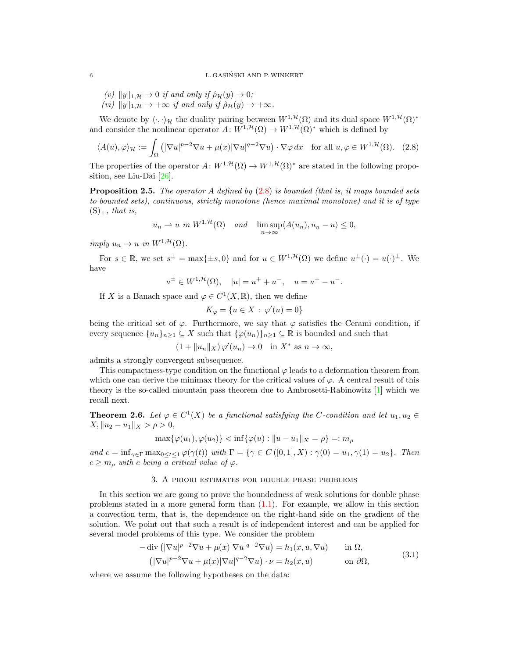- (v)  $||y||_{1,\mathcal{H}} \to 0$  if and only if  $\hat{\rho}_{\mathcal{H}}(y) \to 0$ ;
- (vi)  $||y||_{1,\mathcal{H}} \rightarrow +\infty$  if and only if  $\hat{\rho}_{\mathcal{H}}(y) \rightarrow +\infty$ .

We denote by  $\langle \cdot, \cdot \rangle_{\mathcal{H}}$  the duality pairing between  $W^{1,\mathcal{H}}(\Omega)$  and its dual space  $W^{1,\mathcal{H}}(\Omega)$ <sup>∗</sup> and consider the nonlinear operator  $A: W^{1, \mathcal{H}}(\Omega) \to W^{1, \mathcal{H}}(\Omega)^*$  which is defined by

$$
\langle A(u), \varphi \rangle_{\mathcal{H}} := \int_{\Omega} \left( |\nabla u|^{p-2} \nabla u + \mu(x) |\nabla u|^{q-2} \nabla u \right) \cdot \nabla \varphi \, dx \quad \text{for all } u, \varphi \in W^{1, \mathcal{H}}(\Omega). \tag{2.8}
$$

The properties of the operator  $A: W^{1, \mathcal{H}}(\Omega) \to W^{1, \mathcal{H}}(\Omega)^*$  are stated in the following proposition, see Liu-Dai [\[26\]](#page-22-17).

**Proposition 2.5.** The operator A defined by  $(2.8)$  is bounded (that is, it maps bounded sets to bounded sets), continuous, strictly monotone (hence maximal monotone) and it is of type  $(S)_+,$  that is,

$$
u_n \rightharpoonup u
$$
 in  $W^{1,\mathcal{H}}(\Omega)$  and  $\limsup_{n \to \infty} \langle A(u_n), u_n - u \rangle \leq 0$ ,

imply  $u_n \to u$  in  $W^{1, \mathcal{H}}(\Omega)$ .

For  $s \in \mathbb{R}$ , we set  $s^{\pm} = \max\{\pm s, 0\}$  and for  $u \in W^{1, \mathcal{H}}(\Omega)$  we define  $u^{\pm}(\cdot) = u(\cdot)^{\pm}$ . We have

$$
u^{\pm} \in W^{1,\mathcal{H}}(\Omega), \quad |u| = u^{+} + u^{-}, \quad u = u^{+} - u^{-}.
$$

If X is a Banach space and  $\varphi \in C^1(X, \mathbb{R})$ , then we define

<span id="page-5-1"></span>
$$
K_{\varphi} = \{ u \in X \, : \, \varphi'(u) = 0 \}
$$

being the critical set of  $\varphi$ . Furthermore, we say that  $\varphi$  satisfies the Cerami condition, if every sequence  $\{u_n\}_{n\geq 1}\subseteq X$  such that  $\{\varphi(u_n)\}_{n\geq 1}\subseteq \mathbb{R}$  is bounded and such that

 $(1 + ||u_n||_X) \varphi'(u_n) \to 0$  in  $X^*$  as  $n \to \infty$ ,

admits a strongly convergent subsequence.

This compactness-type condition on the functional  $\varphi$  leads to a deformation theorem from which one can derive the minimax theory for the critical values of  $\varphi$ . A central result of this theory is the so-called mountain pass theorem due to Ambrosetti-Rabinowitz [\[1\]](#page-21-20) which we recall next.

<span id="page-5-3"></span>**Theorem 2.6.** Let  $\varphi \in C^1(X)$  be a functional satisfying the C-condition and let  $u_1, u_2 \in C^1(X)$  $X, \|u_2 - u_1\|_X > \rho > 0,$ 

$$
\max{\{\varphi(u_1), \varphi(u_2)\}} < \inf{\{\varphi(u) : \|u - u_1\|_X = \rho\}} =: m_\rho
$$

and  $c = \inf_{\gamma \in \Gamma} \max_{0 \le t \le 1} \varphi(\gamma(t))$  with  $\Gamma = \{ \gamma \in C([0,1], X) : \gamma(0) = u_1, \gamma(1) = u_2 \}.$  Then  $c \geq m_o$  with c being a critical value of  $\varphi$ .

# 3. A priori estimates for double phase problems

<span id="page-5-0"></span>In this section we are going to prove the boundedness of weak solutions for double phase problems stated in a more general form than  $(1.1)$ . For example, we allow in this section a convection term, that is, the dependence on the right-hand side on the gradient of the solution. We point out that such a result is of independent interest and can be applied for several model problems of this type. We consider the problem

<span id="page-5-2"></span>
$$
-\operatorname{div}\left(|\nabla u|^{p-2}\nabla u + \mu(x)|\nabla u|^{q-2}\nabla u\right) = h_1(x, u, \nabla u) \quad \text{in } \Omega,
$$
  
\n
$$
\left(|\nabla u|^{p-2}\nabla u + \mu(x)|\nabla u|^{q-2}\nabla u\right) \cdot \nu = h_2(x, u) \quad \text{on } \partial\Omega,
$$
\n(3.1)

where we assume the following hypotheses on the data: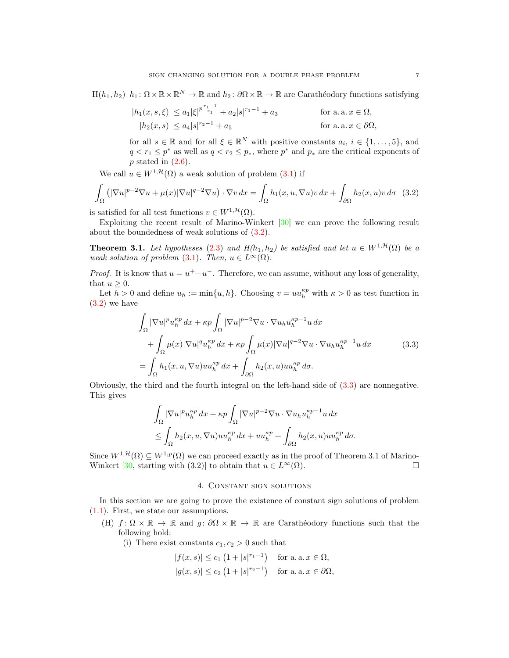$H(h_1, h_2)$   $h_1: \Omega \times \mathbb{R} \times \mathbb{R}^N \to \mathbb{R}$  and  $h_2: \partial \Omega \times \mathbb{R} \to \mathbb{R}$  are Carathéodory functions satisfying

$$
|h_1(x, s, \xi)| \le a_1 |\xi|^{p^{\frac{r_1 - 1}{r_1}}} + a_2 |s|^{r_1 - 1} + a_3 \quad \text{for a. a. } x \in \Omega,
$$
  

$$
|h_2(x, s)| \le a_4 |s|^{r_2 - 1} + a_5 \quad \text{for a. a. } x \in \partial\Omega,
$$

<span id="page-6-2"></span>for all  $s \in \mathbb{R}$  and for all  $\xi \in \mathbb{R}^N$  with positive constants  $a_i, i \in \{1, ..., 5\}$ , and  $q < r_1 \leq p^*$  as well as  $q < r_2 \leq p_*$ , where  $p^*$  and  $p_*$  are the critical exponents of  $p$  stated in  $(2.6)$ .

We call  $u \in W^{1, \mathcal{H}}(\Omega)$  a weak solution of problem  $(3.1)$  if

$$
\int_{\Omega} \left( |\nabla u|^{p-2} \nabla u + \mu(x) |\nabla u|^{q-2} \nabla u \right) \cdot \nabla v \, dx = \int_{\Omega} h_1(x, u, \nabla u) v \, dx + \int_{\partial \Omega} h_2(x, u) v \, d\sigma \quad (3.2)
$$

is satisfied for all test functions  $v \in W^{1, \mathcal{H}}(\Omega)$ .

Exploiting the recent result of Marino-Winkert [\[30\]](#page-22-26) we can prove the following result about the boundedness of weak solutions of  $(3.2)$ .

<span id="page-6-0"></span>**Theorem 3.1.** Let hypotheses [\(2.3\)](#page-3-0) and  $H(h_1, h_2)$  be satisfied and let  $u \in W^{1, \mathcal{H}}(\Omega)$  be a weak solution of problem  $(3.1)$ . Then,  $u \in L^{\infty}(\Omega)$ .

*Proof.* It is know that  $u = u^+ - u^-$ . Therefore, we can assume, without any loss of generality, that  $u \geq 0$ .

Let  $h > 0$  and define  $u_h := \min\{u, h\}$ . Choosing  $v = uu_h^{\kappa p}$  with  $\kappa > 0$  as test function in  $(3.2)$  we have

$$
\int_{\Omega} |\nabla u|^p u_h^{\kappa p} dx + \kappa p \int_{\Omega} |\nabla u|^{p-2} \nabla u \cdot \nabla u_h u_h^{\kappa p-1} u dx \n+ \int_{\Omega} \mu(x) |\nabla u|^q u_h^{\kappa p} dx + \kappa p \int_{\Omega} \mu(x) |\nabla u|^{q-2} \nabla u \cdot \nabla u_h u_h^{\kappa p-1} u dx
$$
\n(3.3)\n
$$
= \int_{\Omega} h_1(x, u, \nabla u) u u_h^{\kappa p} dx + \int_{\partial \Omega} h_2(x, u) u u_h^{\kappa p} d\sigma.
$$

Obviously, the third and the fourth integral on the left-hand side of [\(3.3\)](#page-6-3) are nonnegative. This gives

$$
\int_{\Omega} |\nabla u|^p u_h^{\kappa p} dx + \kappa p \int_{\Omega} |\nabla u|^{p-2} \nabla u \cdot \nabla u_h u_h^{\kappa p-1} u dx
$$
  
\n
$$
\leq \int_{\Omega} h_2(x, u, \nabla u) u u_h^{\kappa p} dx + u u_h^{\kappa p} + \int_{\partial \Omega} h_2(x, u) u u_h^{\kappa p} d\sigma.
$$

Since  $W^{1,\mathcal{H}}(\Omega) \subseteq W^{1,p}(\Omega)$  we can proceed exactly as in the proof of Theorem 3.1 of Marino-Winkert [\[30,](#page-22-26) starting with (3.2)] to obtain that  $u \in L^{\infty}(\Omega)$ .

### <span id="page-6-3"></span>4. Constant sign solutions

<span id="page-6-1"></span>In this section we are going to prove the existence of constant sign solutions of problem [\(1.1\)](#page-0-0). First, we state our assumptions.

- (H)  $f: \Omega \times \mathbb{R} \to \mathbb{R}$  and  $g: \partial \Omega \times \mathbb{R} \to \mathbb{R}$  are Carathéodory functions such that the following hold:
	- (i) There exist constants  $c_1, c_2 > 0$  such that

$$
|f(x,s)| \le c_1 \left(1 + |s|^{r_1 - 1}\right) \quad \text{for a. a. } x \in \Omega,
$$
  

$$
|g(x,s)| \le c_2 \left(1 + |s|^{r_2 - 1}\right) \quad \text{for a. a. } x \in \partial\Omega,
$$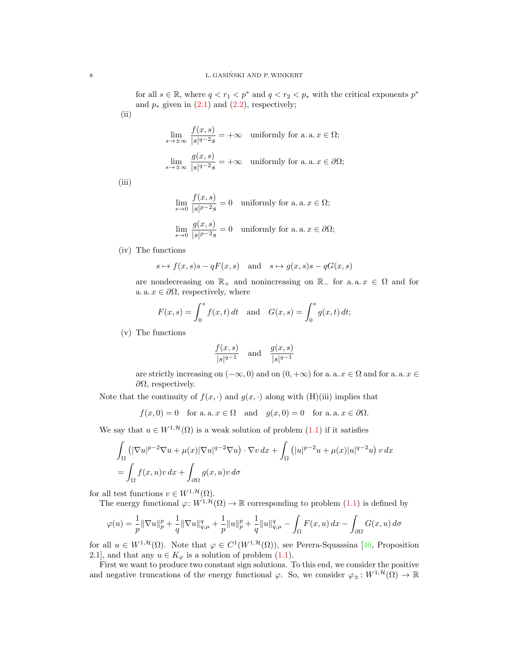for all  $s \in \mathbb{R}$ , where  $q \lt r_1 \lt p^*$  and  $q \lt r_2 \lt p_*$  with the critical exponents  $p^*$ and  $p_*$  given in  $(2.1)$  and  $(2.2)$ , respectively; (ii)

$$
\lim_{s \to \pm \infty} \frac{f(x, s)}{|s|^{q-2} s} = +\infty \quad \text{uniformly for a. a. } x \in \Omega;
$$
\n
$$
\lim_{s \to \pm \infty} \frac{g(x, s)}{|s|^{q-2} s} = +\infty \quad \text{uniformly for a. a. } x \in \partial \Omega;
$$

(iii)

$$
\lim_{s \to 0} \frac{f(x, s)}{|s|^{p-2}s} = 0 \quad \text{uniformly for a. a. } x \in \Omega;
$$
\n
$$
\lim_{s \to 0} \frac{g(x, s)}{|s|^{p-2}s} = 0 \quad \text{uniformly for a. a. } x \in \partial\Omega;
$$

(iv) The functions

$$
s\mapsto f(x,s)s-qF(x,s)\quad\text{and}\quad s\mapsto g(x,s)s-qG(x,s)
$$

are nondecreasing on  $\mathbb{R}_+$  and nonincreasing on  $\mathbb{R}_-$  for a. a.  $x \in \Omega$  and for a. a.  $x \in \partial\Omega$ , respectively, where

$$
F(x, s) = \int_0^s f(x, t) dt
$$
 and  $G(x, s) = \int_0^s g(x, t) dt$ ;

(v) The functions

$$
\frac{f(x,s)}{|s|^{q-1}} \quad \text{and} \quad \frac{g(x,s)}{|s|^{q-1}}
$$

are strictly increasing on  $(-\infty, 0)$  and on  $(0, +\infty)$  for a. a.  $x \in \Omega$  and for a. a.  $x \in \Omega$  $\partial Ω$ , respectively.

Note that the continuity of  $f(x, \cdot)$  and  $g(x, \cdot)$  along with (H)(iii) implies that

$$
f(x, 0) = 0
$$
 for a.a.  $x \in \Omega$  and  $g(x, 0) = 0$  for a.a.  $x \in \partial\Omega$ .

We say that  $u \in W^{1, \mathcal{H}}(\Omega)$  is a weak solution of problem  $(1.1)$  if it satisfies

$$
\int_{\Omega} \left( |\nabla u|^{p-2} \nabla u + \mu(x) |\nabla u|^{q-2} \nabla u \right) \cdot \nabla v \, dx + \int_{\Omega} \left( |u|^{p-2} u + \mu(x) |u|^{q-2} u \right) v \, dx
$$
  
= 
$$
\int_{\Omega} f(x, u)v \, dx + \int_{\partial \Omega} g(x, u)v \, d\sigma
$$

for all test functions  $v \in W^{1,\mathcal{H}}(\Omega)$ .

The energy functional  $\varphi: W^{1, \mathcal{H}}(\Omega) \to \mathbb{R}$  corresponding to problem [\(1.1\)](#page-0-0) is defined by

$$
\varphi(u) = \frac{1}{p} \|\nabla u\|_p^p + \frac{1}{q} \|\nabla u\|_{q,\mu}^q + \frac{1}{p} \|u\|_p^p + \frac{1}{q} \|u\|_{q,\mu}^q - \int_{\Omega} F(x, u) \, dx - \int_{\partial \Omega} G(x, u) \, d\sigma
$$

for all  $u \in W^{1, \mathcal{H}}(\Omega)$ . Note that  $\varphi \in C^1(W^{1, \mathcal{H}}(\Omega))$ , see Perera-Squassina [\[40,](#page-22-16) Proposition 2.1], and that any  $u \in K_{\varphi}$  is a solution of problem [\(1.1\)](#page-0-0).

First we want to produce two constant sign solutions. To this end, we consider the positive and negative truncations of the energy functional  $\varphi$ . So, we consider  $\varphi_{\pm} : W^{1,\mathcal{H}}(\Omega) \to \mathbb{R}$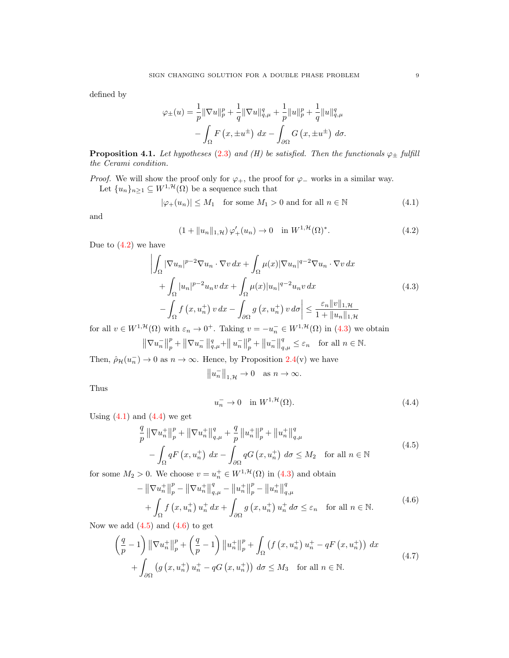defined by

$$
\varphi_{\pm}(u) = \frac{1}{p} \|\nabla u\|_{p}^{p} + \frac{1}{q} \|\nabla u\|_{q,\mu}^{q} + \frac{1}{p} \|u\|_{p}^{p} + \frac{1}{q} \|u\|_{q,\mu}^{q}
$$

$$
- \int_{\Omega} F(x, \pm u^{\pm}) dx - \int_{\partial \Omega} G(x, \pm u^{\pm}) d\sigma.
$$

<span id="page-8-7"></span>**Proposition 4.1.** Let hypotheses [\(2.3\)](#page-3-0) and (H) be satisfied. Then the functionals  $\varphi_{\pm}$  fulfill the Cerami condition.

*Proof.* We will show the proof only for  $\varphi_+$ , the proof for  $\varphi_-$  works in a similar way. Let  $\{u_n\}_{n\geq 1} \subseteq W^{1,\mathcal{H}}(\Omega)$  be a sequence such that

$$
|\varphi_{+}(u_{n})| \le M_{1} \quad \text{for some } M_{1} > 0 \text{ and for all } n \in \mathbb{N}
$$
 (4.1)

and

<span id="page-8-2"></span><span id="page-8-0"></span>
$$
(1 + \|u_n\|_{1,\mathcal{H}}) \varphi_+'(u_n) \to 0 \quad \text{in } W^{1,\mathcal{H}}(\Omega)^*.
$$
 (4.2)

Due to  $(4.2)$  we have

 $\overline{\phantom{a}}$  $\overline{\phantom{a}}$ I  $\mid$ 

$$
\int_{\Omega} |\nabla u_n|^{p-2} \nabla u_n \cdot \nabla v \, dx + \int_{\Omega} \mu(x) |\nabla u_n|^{q-2} \nabla u_n \cdot \nabla v \, dx \n+ \int_{\Omega} |u_n|^{p-2} u_n v \, dx + \int_{\Omega} \mu(x) |u_n|^{q-2} u_n v \, dx \n- \int_{\Omega} f(x, u_n^+) v \, dx - \int_{\partial \Omega} g(x, u_n^+) v \, d\sigma \leq \frac{\varepsilon_n ||v||_{1, \mathcal{H}}}{1 + ||u_n||_{1, \mathcal{H}}} \tag{4.3}
$$

for all  $v \in W^{1,\mathcal{H}}(\Omega)$  with  $\varepsilon_n \to 0^+$ . Taking  $v = -u_n^- \in W^{1,\mathcal{H}}(\Omega)$  in [\(4.3\)](#page-8-1) we obtain

$$
\left\| \nabla u_n^- \right\|_p^p + \left\| \nabla u_n^- \right\|_{q,\mu}^q + \left\| u_n^- \right\|_p^p + \left\| u_n^- \right\|_{q,\mu}^q \le \varepsilon_n \quad \text{for all } n \in \mathbb{N}.
$$

Then,  $\hat{\rho}_{\mathcal{H}}(u_n^-) \to 0$  as  $n \to \infty$ . Hence, by Proposition [2.4\(](#page-4-3)v) we have

<span id="page-8-1"></span>
$$
||u_n^-||_{1,\mathcal{H}} \to 0 \quad \text{as } n \to \infty.
$$

Thus

<span id="page-8-6"></span><span id="page-8-5"></span><span id="page-8-4"></span><span id="page-8-3"></span>
$$
u_n^- \to 0 \quad \text{in } W^{1, \mathcal{H}}(\Omega). \tag{4.4}
$$

Using  $(4.1)$  and  $(4.4)$  we get

$$
\frac{q}{p} \left\| \nabla u_n^+ \right\|_p^p + \left\| \nabla u_n^+ \right\|_{q,\mu}^q + \frac{q}{p} \left\| u_n^+ \right\|_p^p + \left\| u_n^+ \right\|_{q,\mu}^q \n- \int_{\Omega} q F \left( x, u_n^+ \right) dx - \int_{\partial \Omega} q G \left( x, u_n^+ \right) d\sigma \le M_2 \quad \text{for all } n \in \mathbb{N}
$$
\n(4.5)

for some  $M_2 > 0$ . We choose  $v = u_n^+ \in W^{1, \mathcal{H}}(\Omega)$  in  $(4.3)$  and obtain

$$
-\|\nabla u_n^+\|_p^p - \|\nabla u_n^+\|_{q,\mu}^q - \|u_n^+\|_p^p - \|u_n^+\|_{q,\mu}^q + \int_{\Omega} f(x, u_n^+) u_n^+ dx + \int_{\partial\Omega} g(x, u_n^+) u_n^+ d\sigma \leq \varepsilon_n \quad \text{for all } n \in \mathbb{N}.
$$
 (4.6)

Now we add  $(4.5)$  and  $(4.6)$  to get

$$
\left(\frac{q}{p}-1\right) \left\|\nabla u_n^+\right\|_p^p + \left(\frac{q}{p}-1\right) \left\|u_n^+\right\|_p^p + \int_{\Omega} \left(f\left(x, u_n^+\right)u_n^+ - qF\left(x, u_n^+\right)\right) dx \n+ \int_{\partial\Omega} \left(g\left(x, u_n^+\right)u_n^+ - qG\left(x, u_n^+\right)\right) d\sigma \le M_3 \quad \text{for all } n \in \mathbb{N}.
$$
\n(4.7)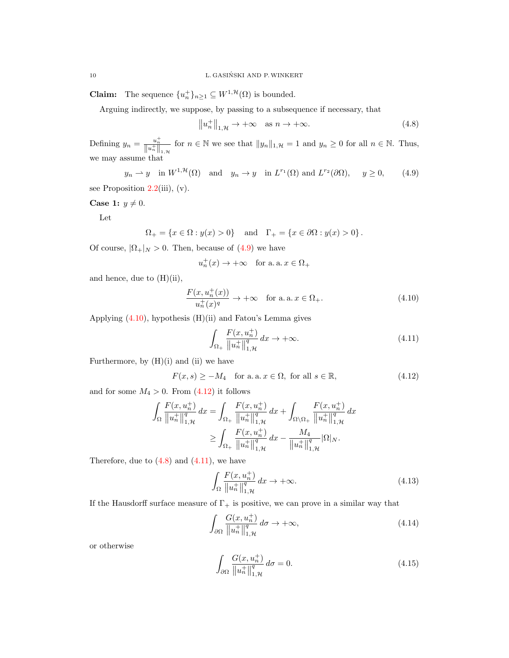**Claim:** The sequence  $\{u_n^+\}_{n\geq 1} \subseteq W^{1,\mathcal{H}}(\Omega)$  is bounded.

Arguing indirectly, we suppose, by passing to a subsequence if necessary, that

<span id="page-9-3"></span><span id="page-9-0"></span>
$$
||u_n^+||_{1,\mathcal{H}} \to +\infty \quad \text{as } n \to +\infty. \tag{4.8}
$$

Defining  $y_n = \frac{u_n^+}{\|u_n^+\|_{1,\mathcal{H}}}$  for  $n \in \mathbb{N}$  we see that  $\|y_n\|_{1,\mathcal{H}} = 1$  and  $y_n \ge 0$  for all  $n \in \mathbb{N}$ . Thus, we may assume that

 $y_n \rightharpoonup y$  in  $W^{1,\mathcal{H}}(\Omega)$  and  $y_n \to y$  in  $L^{r_1}(\Omega)$  and  $L^{r_2}(\partial\Omega)$ ,  $y \ge 0$ , (4.9)

see Proposition  $2.2(iii)$  $2.2(iii)$ , (v).

Case 1:  $y \neq 0$ .

Let

$$
\Omega_+ = \{x \in \Omega : y(x) > 0\} \text{ and } \Gamma_+ = \{x \in \partial\Omega : y(x) > 0\}.
$$

Of course,  $|\Omega_+|_N > 0$ . Then, because of [\(4.9\)](#page-9-0) we have

$$
u_n^+(x) \to +\infty
$$
 for a.a.  $x \in \Omega_+$ 

and hence, due to  $(H)(ii)$ ,

$$
\frac{F(x, u_n^+(x))}{u_n^+(x)^q} \to +\infty \quad \text{for a. a. } x \in \Omega_+.
$$
 (4.10)

Applying  $(4.10)$ , hypothesis  $(H)(ii)$  and Fatou's Lemma gives

<span id="page-9-4"></span><span id="page-9-2"></span><span id="page-9-1"></span>
$$
\int_{\Omega_+} \frac{F(x, u_n^+)}{\|u_n^+\|_{1,\mathcal{H}}^q} dx \to +\infty.
$$
\n(4.11)

Furthermore, by  $(H)(i)$  and  $(ii)$  we have

$$
F(x,s) \ge -M_4 \quad \text{for a. a. } x \in \Omega, \text{ for all } s \in \mathbb{R},\tag{4.12}
$$

and for some  $M_4 > 0$ . From  $(4.12)$  it follows

$$
\int_{\Omega} \frac{F(x, u_n^+)}{\|u_n^+\|_{1,\mathcal{H}}^q} dx = \int_{\Omega_+} \frac{F(x, u_n^+)}{\|u_n^+\|_{1,\mathcal{H}}^q} dx + \int_{\Omega \setminus \Omega_+} \frac{F(x, u_n^+)}{\|u_n^+\|_{1,\mathcal{H}}^q} dx
$$

$$
\geq \int_{\Omega_+} \frac{F(x, u_n^+)}{\|u_n^+\|_{1,\mathcal{H}}^q} dx - \frac{M_4}{\|u_n^+\|_{1,\mathcal{H}}^q} |\Omega|_N.
$$

Therefore, due to  $(4.8)$  and  $(4.11)$ , we have

<span id="page-9-5"></span>
$$
\int_{\Omega} \frac{F(x, u_n^+)}{\|u_n^+\|_{1,\mathcal{H}}^q} dx \to +\infty. \tag{4.13}
$$

If the Hausdorff surface measure of  $\Gamma_{+}$  is positive, we can prove in a similar way that

<span id="page-9-6"></span>
$$
\int_{\partial\Omega} \frac{G(x, u_n^+)}{\|u_n^+\|_{1,\mathcal{H}}^q} \, d\sigma \to +\infty,\tag{4.14}
$$

or otherwise

<span id="page-9-7"></span>
$$
\int_{\partial\Omega} \frac{G(x, u_n^+)}{\|u_n^+\|_{1,\mathcal{H}}^q} d\sigma = 0.
$$
\n(4.15)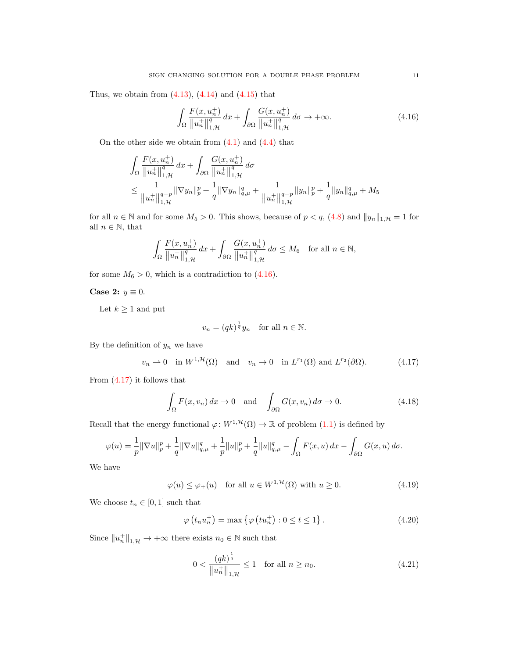Thus, we obtain from  $(4.13)$ ,  $(4.14)$  and  $(4.15)$  that

<span id="page-10-0"></span>
$$
\int_{\Omega} \frac{F(x, u_n^+)}{\|u_n^+\|_{1,\mathcal{H}}^q} dx + \int_{\partial \Omega} \frac{G(x, u_n^+)}{\|u_n^+\|_{1,\mathcal{H}}^q} d\sigma \to +\infty.
$$
 (4.16)

On the other side we obtain from  $(4.1)$  and  $(4.4)$  that

$$
\int_{\Omega} \frac{F(x, u_n^{+})}{\|u_n^{+}\|_{1,\mathcal{H}}^q} dx + \int_{\partial\Omega} \frac{G(x, u_n^{+})}{\|u_n^{+}\|_{1,\mathcal{H}}^q} d\sigma
$$
\n
$$
\leq \frac{1}{\|u_n^{+}\|_{1,\mathcal{H}}^{q-p}} \|\nabla y_n\|_p^p + \frac{1}{q} \|\nabla y_n\|_{q,\mu}^q + \frac{1}{\|u_n^{+}\|_{1,\mathcal{H}}^{q-p}} \|y_n\|_p^p + \frac{1}{q} \|y_n\|_{q,\mu}^q + M_5
$$

for all  $n \in \mathbb{N}$  and for some  $M_5 > 0$ . This shows, because of  $p < q$ , [\(4.8\)](#page-9-3) and  $||y_n||_{1,\mathcal{H}} = 1$  for all  $n \in \mathbb{N}$ , that

$$
\int_{\Omega} \frac{F(x, u_n^+)}{\|u_n^+\|_{1,\mathcal{H}}^q} dx + \int_{\partial\Omega} \frac{G(x, u_n^+)}{\|u_n^+\|_{1,\mathcal{H}}^q} d\sigma \le M_6 \quad \text{for all } n \in \mathbb{N},
$$

for some  $M_6 > 0$ , which is a contradiction to [\(4.16\)](#page-10-0).

# Case 2:  $y \equiv 0$ .

Let  $k\geq 1$  and put

<span id="page-10-4"></span><span id="page-10-1"></span>
$$
v_n = (qk)^{\frac{1}{q}} y_n \quad \text{for all } n \in \mathbb{N}.
$$

By the definition of  $y_n$  we have

$$
v_n \rightharpoonup 0 \quad \text{in } W^{1, \mathcal{H}}(\Omega) \quad \text{and} \quad v_n \to 0 \quad \text{in } L^{r_1}(\Omega) \text{ and } L^{r_2}(\partial \Omega). \tag{4.17}
$$

From [\(4.17\)](#page-10-1) it follows that

$$
\int_{\Omega} F(x, v_n) dx \to 0 \quad \text{and} \quad \int_{\partial \Omega} G(x, v_n) d\sigma \to 0.
$$
\n(4.18)

Recall that the energy functional  $\varphi: W^{1, \mathcal{H}}(\Omega) \to \mathbb{R}$  of problem  $(1.1)$  is defined by

$$
\varphi(u) = \frac{1}{p} \|\nabla u\|_p^p + \frac{1}{q} \|\nabla u\|_{q,\mu}^q + \frac{1}{p} \|u\|_p^p + \frac{1}{q} \|u\|_{q,\mu}^q - \int_{\Omega} F(x, u) \, dx - \int_{\partial \Omega} G(x, u) \, d\sigma.
$$

We have

$$
\varphi(u) \le \varphi_+(u) \quad \text{for all } u \in W^{1, \mathcal{H}}(\Omega) \text{ with } u \ge 0. \tag{4.19}
$$

We choose  $t_n \in [0,1]$  such that

<span id="page-10-5"></span>
$$
\varphi(t_n u_n^+) = \max\left\{\varphi\left(t u_n^+\right) : 0 \le t \le 1\right\}.
$$
\n(4.20)

Since  $||u_n^+||_{1,\mathcal{H}} \to +\infty$  there exists  $n_0 \in \mathbb{N}$  such that

<span id="page-10-3"></span><span id="page-10-2"></span>
$$
0 < \frac{(qk)^{\frac{1}{q}}}{\|u_n^+\|_{1,\mathcal{H}}} \le 1 \quad \text{for all } n \ge n_0. \tag{4.21}
$$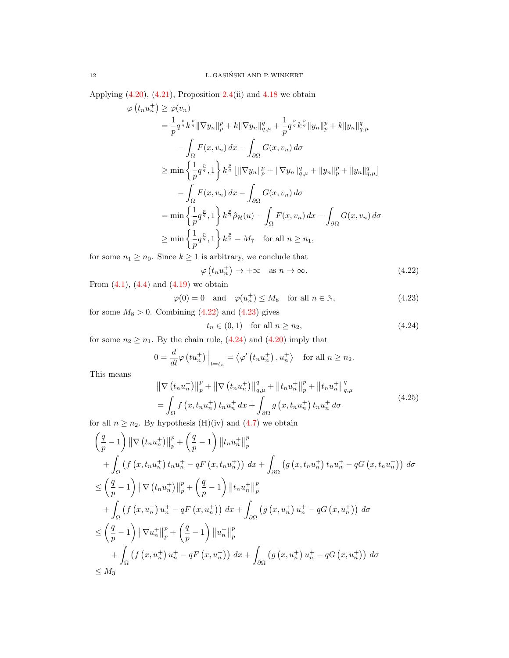Applying  $(4.20)$ ,  $(4.21)$ , Proposition [2.4\(](#page-4-3)ii) and [4.18](#page-10-4) we obtain

$$
\varphi(t_{n}u_{n}^{+}) \geq \varphi(v_{n})
$$
\n
$$
= \frac{1}{p}q^{\frac{p}{q}}k^{\frac{p}{q}}\|\nabla y_{n}\|_{p}^{p} + k\|\nabla y_{n}\|_{q,\mu}^{q} + \frac{1}{p}q^{\frac{p}{q}}k^{\frac{p}{q}}\|y_{n}\|_{p}^{p} + k\|y_{n}\|_{q,\mu}^{q}
$$
\n
$$
- \int_{\Omega} F(x,v_{n}) dx - \int_{\partial\Omega} G(x,v_{n}) d\sigma
$$
\n
$$
\geq \min\left\{\frac{1}{p}q^{\frac{p}{q}},1\right\}k^{\frac{p}{q}}\left[\|\nabla y_{n}\|_{p}^{p} + \|\nabla y_{n}\|_{q,\mu}^{q} + \|y_{n}\|_{p}^{p} + \|y_{n}\|_{q,\mu}^{q}\right]
$$
\n
$$
- \int_{\Omega} F(x,v_{n}) dx - \int_{\partial\Omega} G(x,v_{n}) d\sigma
$$
\n
$$
= \min\left\{\frac{1}{p}q^{\frac{p}{q}},1\right\}k^{\frac{p}{q}}\hat{\rho}_{\mathcal{H}}(u) - \int_{\Omega} F(x,v_{n}) dx - \int_{\partial\Omega} G(x,v_{n}) d\sigma
$$
\n
$$
\geq \min\left\{\frac{1}{p}q^{\frac{p}{q}},1\right\}k^{\frac{p}{q}} - M_{7} \quad \text{for all } n \geq n_{1},
$$

for some  $n_1 \geq n_0$ . Since  $k \geq 1$  is arbitrary, we conclude that

$$
\varphi(t_n u_n^+) \to +\infty \quad \text{as } n \to \infty. \tag{4.22}
$$

From  $(4.1)$ ,  $(4.4)$  and  $(4.19)$  we obtain

$$
\varphi(0) = 0 \quad \text{and} \quad \varphi(u_n^+) \le M_8 \quad \text{for all } n \in \mathbb{N}, \tag{4.23}
$$

for some  $M_8 > 0$ . Combining [\(4.22\)](#page-11-0) and [\(4.23\)](#page-11-1) gives

<span id="page-11-3"></span><span id="page-11-2"></span><span id="page-11-1"></span><span id="page-11-0"></span>
$$
t_n \in (0,1) \quad \text{for all } n \ge n_2,\tag{4.24}
$$

for some  $n_2 \geq n_1$ . By the chain rule, [\(4.24\)](#page-11-2) and [\(4.20\)](#page-10-2) imply that

$$
0 = \frac{d}{dt} \varphi \left( t u_n^+ \right) \Big|_{t = t_n} = \left\langle \varphi' \left( t_n u_n^+ \right), u_n^+ \right\rangle \quad \text{for all } n \ge n_2.
$$

This means

$$
\|\nabla (t_n u_n^+) \|_p^p + \|\nabla (t_n u_n^+) \|_{q,\mu}^q + \|t_n u_n^+ \|_p^p + \|t_n u_n^+ \|_{q,\mu}^q
$$
  
= 
$$
\int_{\Omega} f(x, t_n u_n^+) t_n u_n^+ dx + \int_{\partial \Omega} g(x, t_n u_n^+) t_n u_n^+ d\sigma
$$
 (4.25)

for all  $n \geq n_2$ . By hypothesis (H)(iv) and [\(4.7\)](#page-8-6) we obtain

$$
\left(\frac{q}{p}-1\right) \|\nabla \left(t_{n} u_{n}^{+}\right)\|_{p}^{p} + \left(\frac{q}{p}-1\right) \left\|t_{n} u_{n}^{+}\right\|_{p}^{p} \n+ \int_{\Omega} \left(f\left(x, t_{n} u_{n}^{+}\right) t_{n} u_{n}^{+} - qF\left(x, t_{n} u_{n}^{+}\right)\right) dx + \int_{\partial\Omega} \left(g\left(x, t_{n} u_{n}^{+}\right) t_{n} u_{n}^{+} - qG\left(x, t_{n} u_{n}^{+}\right)\right) d\sigma \n\leq \left(\frac{q}{p}-1\right) \|\nabla \left(t_{n} u_{n}^{+}\right)\|_{p}^{p} + \left(\frac{q}{p}-1\right) \left\|t_{n} u_{n}^{+}\right\|_{p}^{p} \n+ \int_{\Omega} \left(f\left(x, u_{n}^{+}\right) u_{n}^{+} - qF\left(x, u_{n}^{+}\right)\right) dx + \int_{\partial\Omega} \left(g\left(x, u_{n}^{+}\right) u_{n}^{+} - qG\left(x, u_{n}^{+}\right)\right) d\sigma \n\leq \left(\frac{q}{p}-1\right) \|\nabla u_{n}^{+}\|_{p}^{p} + \left(\frac{q}{p}-1\right) \left\|u_{n}^{+}\right\|_{p}^{p} \n+ \int_{\Omega} \left(f\left(x, u_{n}^{+}\right) u_{n}^{+} - qF\left(x, u_{n}^{+}\right)\right) dx + \int_{\partial\Omega} \left(g\left(x, u_{n}^{+}\right) u_{n}^{+} - qG\left(x, u_{n}^{+}\right)\right) d\sigma \n\leq M_{3}
$$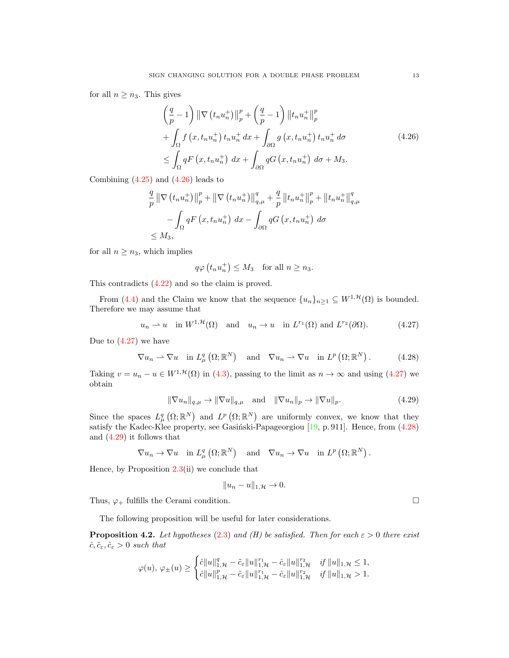for all  $n \geq n_3$ . This gives

<span id="page-12-0"></span>
$$
\left(\frac{q}{p}-1\right) \|\nabla \left(t_n u_n^+\right)\|_p^p + \left(\frac{q}{p}-1\right) \left\|t_n u_n^+\right\|_p^p
$$
  
+ 
$$
\int_{\Omega} f\left(x, t_n u_n^+\right) t_n u_n^+ dx + \int_{\partial \Omega} g\left(x, t_n u_n^+\right) t_n u_n^+ d\sigma
$$
  

$$
\leq \int_{\Omega} qF\left(x, t_n u_n^+\right) dx + \int_{\partial \Omega} qG\left(x, t_n u_n^+\right) d\sigma + M_3.
$$
\n(4.26)

Combining  $(4.25)$  and  $(4.26)$  leads to

$$
\frac{q}{p} \left\| \nabla \left( t_n u_n^+ \right) \right\|_p^p + \left\| \nabla \left( t_n u_n^+ \right) \right\|_{q,\mu}^q + \frac{q}{p} \left\| t_n u_n^+ \right\|_p^p + \left\| t_n u_n^+ \right\|_{q,\mu}^q
$$

$$
- \int_{\Omega} q F \left( x, t_n u_n^+ \right) dx - \int_{\partial \Omega} q G \left( x, t_n u_n^+ \right) d\sigma
$$
  
\$\leq M\_3\$,

for all  $n \geq n_3$ , which implies

$$
q\varphi(t_n u_n^+) \leq M_3
$$
 for all  $n \geq n_3$ .

This contradicts [\(4.22\)](#page-11-0) and so the claim is proved.

From [\(4.4\)](#page-8-3) and the Claim we know that the sequence  $\{u_n\}_{n\geq 1} \subseteq W^{1,\mathcal{H}}(\Omega)$  is bounded. Therefore we may assume that

$$
u_n \rightharpoonup u
$$
 in  $W^{1,\mathcal{H}}(\Omega)$  and  $u_n \to u$  in  $L^{r_1}(\Omega)$  and  $L^{r_2}(\partial\Omega)$ . (4.27)

Due to  $(4.27)$  we have

$$
\nabla u_n \rightharpoonup \nabla u \quad \text{in } L^q_\mu(\Omega; \mathbb{R}^N) \quad \text{and} \quad \nabla u_n \rightharpoonup \nabla u \quad \text{in } L^p(\Omega; \mathbb{R}^N). \tag{4.28}
$$

Taking  $v = u_n - u \in W^{1,\mathcal{H}}(\Omega)$  in [\(4.3\)](#page-8-1), passing to the limit as  $n \to \infty$  and using [\(4.27\)](#page-12-1) we obtain

$$
\|\nabla u_n\|_{q,\mu} \to \|\nabla u\|_{q,\mu} \quad \text{and} \quad \|\nabla u_n\|_p \to \|\nabla u\|_p. \tag{4.29}
$$

Since the spaces  $L^q_\mu(\Omega;\mathbb{R}^N)$  and  $L^p(\Omega;\mathbb{R}^N)$  are uniformly convex, we know that they satisfy the Kadec-Klee property, see Gasiński-Papageorgiou  $[19, p. 911]$ . Hence, from  $(4.28)$ and [\(4.29\)](#page-12-3) it follows that

$$
\nabla u_n \to \nabla u \quad \text{in } L^q_\mu(\Omega; \mathbb{R}^N) \quad \text{and} \quad \nabla u_n \to \nabla u \quad \text{in } L^p(\Omega; \mathbb{R}^N) .
$$

Hence, by Proposition [2.3\(](#page-4-4)ii) we conclude that

$$
||u_n - u||_{1,\mathcal{H}} \to 0.
$$

Thus,  $\varphi_+$  fulfills the Cerami condition.

The following proposition will be useful for later considerations.

<span id="page-12-4"></span>**Proposition 4.2.** Let hypotheses [\(2.3\)](#page-3-0) and (H) be satisfied. Then for each  $\varepsilon > 0$  there exist  $\hat{c}, \tilde{c}_{\varepsilon}, \hat{c}_{\varepsilon} > 0$  such that

$$
\varphi(u),\, \varphi_{\pm}(u) \geq \begin{cases} \hat{c} \|u\|_{1,\mathcal{H}}^q - \tilde{c}_{\varepsilon} \|u\|_{1,\mathcal{H}}^{r_1} - \hat{c}_{\varepsilon} \|u\|_{1,\mathcal{H}}^{r_2} & \text{if } \|u\|_{1,\mathcal{H}} \leq 1, \\ \hat{c} \|u\|_{1,\mathcal{H}}^p - \tilde{c}_{\varepsilon} \|u\|_{1,\mathcal{H}}^{r_1} - \hat{c}_{\varepsilon} \|u\|_{1,\mathcal{H}}^{r_2} & \text{if } \|u\|_{1,\mathcal{H}} > 1. \end{cases}
$$

<span id="page-12-3"></span><span id="page-12-2"></span><span id="page-12-1"></span>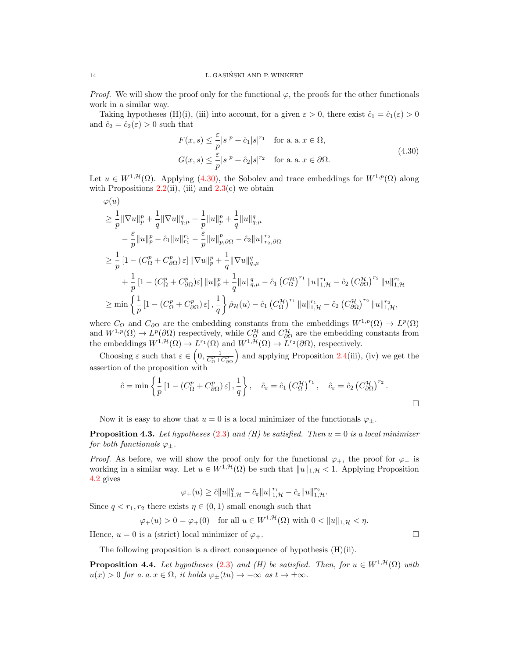*Proof.* We will show the proof only for the functional  $\varphi$ , the proofs for the other functionals work in a similar way.

Taking hypotheses (H)(i), (iii) into account, for a given  $\varepsilon > 0$ , there exist  $\hat{c}_1 = \hat{c}_1(\varepsilon) > 0$ and  $\hat{c}_2 = \hat{c}_2(\varepsilon) > 0$  such that

<span id="page-13-0"></span>
$$
F(x,s) \leq \frac{\varepsilon}{p} |s|^p + \hat{c}_1 |s|^{r_1} \quad \text{for a. a. } x \in \Omega,
$$
  

$$
G(x,s) \leq \frac{\varepsilon}{p} |s|^p + \hat{c}_2 |s|^{r_2} \quad \text{for a. a. } x \in \partial\Omega.
$$
 (4.30)

Let  $u \in W^{1,\mathcal{H}}(\Omega)$ . Applying [\(4.30\)](#page-13-0), the Sobolev and trace embeddings for  $W^{1,p}(\Omega)$  along with Propositions  $2.2(ii)$  $2.2(ii)$ , (iii) and  $2.3(c)$  $2.3(c)$  we obtain

$$
\begin{split} &\varphi(u) \\ &\geq \frac{1}{p}\|\nabla u\|_p^p + \frac{1}{q}\|\nabla u\|_{q,\mu}^q + \frac{1}{p}\|u\|_p^p + \frac{1}{q}\|u\|_{q,\mu}^q \\ &\quad - \frac{\varepsilon}{p}\|u\|_p^p - \hat{c}_1\|u\|_{r_1}^{r_1} - \frac{\varepsilon}{p}\|u\|_{p,\partial\Omega}^p - \hat{c}_2\|u\|_{r_2,\partial\Omega}^{r_2} \\ &\geq \frac{1}{p}\left[1 - (C_{\Omega}^p + C_{\partial\Omega}^p)\,\varepsilon\right] \|\nabla u\|_p^p + \frac{1}{q}\|\nabla u\|_{q,\mu}^q \\ &\quad + \frac{1}{p}\left[1 - (C_{\Omega}^p + C_{\partial\Omega}^p)\varepsilon\right] \|u\|_p^p + \frac{1}{q}\|u\|_{q,\mu}^q - \hat{c}_1 \left(C_{\Omega}^{\mathcal{H}}\right)^{r_1} \|u\|_{1,\mathcal{H}}^{r_1} - \hat{c}_2 \left(C_{\partial\Omega}^{\mathcal{H}}\right)^{r_2} \|u\|_{1,\mathcal{H}}^{r_2} \\ &\geq \min\left\{\frac{1}{p}\left[1 - (C_{\Omega}^p + C_{\partial\Omega}^p)\,\varepsilon\right], \frac{1}{q}\right\}\hat{\rho}_{\mathcal{H}}(u) - \hat{c}_1 \left(C_{\Omega}^{\mathcal{H}}\right)^{r_1} \|u\|_{1,\mathcal{H}}^{r_1} - \hat{c}_2 \left(C_{\partial\Omega}^{\mathcal{H}}\right)^{r_2} \|u\|_{1,\mathcal{H}}^{r_2}, \end{split}
$$

where  $C_{\Omega}$  and  $C_{\partial\Omega}$  are the embedding constants from the embeddings  $W^{1,p}(\Omega) \to L^p(\Omega)$ and  $W^{1,p}(\Omega) \to L^p(\partial\Omega)$  respectively, while  $C^{\mathcal{H}}_{\Omega}$  and  $C^{\mathcal{H}}_{\partial\Omega}$  are the embedding constants from the embeddings  $W^{1,\mathcal{H}}(\Omega) \to L^{r_1}(\Omega)$  and  $W^{1,\mathcal{H}}(\Omega) \to L^{r_2}(\partial \Omega)$ , respectively.

Choosing  $\varepsilon$  such that  $\varepsilon \in \left(0, \frac{1}{C_{\Omega}^p + C_{\partial\Omega}^p}\right)$ ) and applying Proposition [2.4\(](#page-4-3)iii), (iv) we get the assertion of the proposition with

$$
\hat{c} = \min \left\{ \frac{1}{p} \left[ 1 - \left( C_{\Omega}^p + C_{\partial \Omega}^p \right) \varepsilon \right], \frac{1}{q} \right\}, \quad \tilde{c}_{\varepsilon} = \hat{c}_1 \left( C_{\Omega}^{\mathcal{H}} \right)^{r_1}, \quad \hat{c}_{\varepsilon} = \hat{c}_2 \left( C_{\partial \Omega}^{\mathcal{H}} \right)^{r_2}.
$$

Now it is easy to show that  $u = 0$  is a local minimizer of the functionals  $\varphi_{\pm}$ .

<span id="page-13-1"></span>**Proposition 4.3.** Let hypotheses [\(2.3\)](#page-3-0) and (H) be satisfied. Then  $u = 0$  is a local minimizer for both functionals  $\varphi_{\pm}$ .

*Proof.* As before, we will show the proof only for the functional  $\varphi_+$ , the proof for  $\varphi_-$  is working in a similar way. Let  $u \in W^{1, \mathcal{H}}(\Omega)$  be such that  $||u||_{1, \mathcal{H}} < 1$ . Applying Proposition [4.2](#page-12-4) gives

$$
\varphi_+(u) \geq \hat{c} \|u\|_{1,\mathcal{H}}^q - \tilde{c}_{\varepsilon} \|u\|_{1,\mathcal{H}}^{r_1} - \hat{c}_{\varepsilon} \|u\|_{1,\mathcal{H}}^{r_2}.
$$

Since  $q < r_1, r_2$  there exists  $\eta \in (0, 1)$  small enough such that

$$
\varphi_+(u) > 0 = \varphi_+(0) \quad \text{for all } u \in W^{1, \mathcal{H}}(\Omega) \text{ with } 0 < \|u\|_{1, \mathcal{H}} < \eta.
$$

Hence,  $u = 0$  is a (strict) local minimizer of  $\varphi_+$ .

The following proposition is a direct consequence of hypothesis (H)(ii).

<span id="page-13-2"></span>**Proposition 4.4.** Let hypotheses [\(2.3\)](#page-3-0) and (H) be satisfied. Then, for  $u \in W^{1, \mathcal{H}}(\Omega)$  with  $u(x) > 0$  for a. a.  $x \in \Omega$ , it holds  $\varphi_{\pm}(tu) \to -\infty$  as  $t \to \pm \infty$ .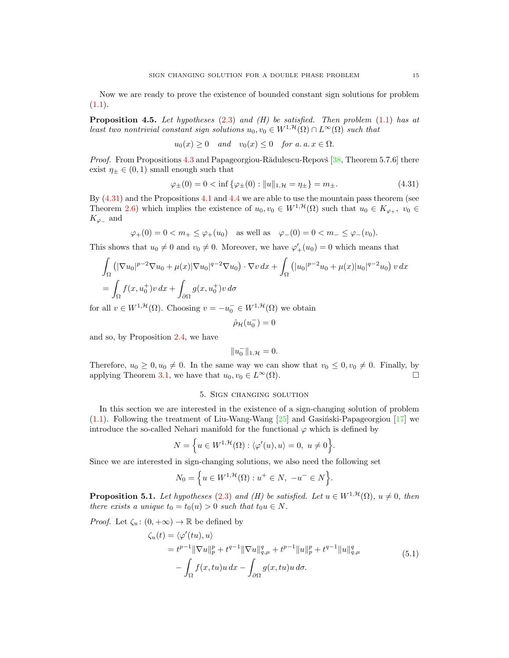Now we are ready to prove the existence of bounded constant sign solutions for problem  $(1.1).$  $(1.1).$ 

<span id="page-14-0"></span>**Proposition 4.5.** Let hypotheses  $(2.3)$  and  $(H)$  be satisfied. Then problem  $(1.1)$  has at least two nontrivial constant sign solutions  $u_0, v_0 \in W^{1, \mathcal{H}}(\Omega) \cap L^{\infty}(\Omega)$  such that

$$
u_0(x) \ge 0 \quad and \quad v_0(x) \le 0 \quad for \ a. \ a. \ x \in \Omega.
$$

*Proof.* From Propositions [4.3](#page-13-1) and Papageorgiou-Rădulescu-Repovš  $[38,$  Theorem 5.7.6 there exist  $\eta_{\pm} \in (0,1)$  small enough such that

$$
\varphi_{\pm}(0) = 0 < \inf \{ \varphi_{\pm}(0) : ||u||_{1,\mathcal{H}} = \eta_{\pm} \} = m_{\pm}.
$$
\n
$$
(4.31)
$$

By [\(4.31\)](#page-14-2) and the Propositions [4.1](#page-8-7) and [4.4](#page-13-2) we are able to use the mountain pass theorem (see Theorem [2.6\)](#page-5-3) which implies the existence of  $u_0, v_0 \in W^{1,\mathcal{H}}(\Omega)$  such that  $u_0 \in K_{\varphi_+}, v_0 \in$  $K_{\varphi_{-}}$  and

$$
\varphi_+(0) = 0 < m_+ \leq \varphi_+(u_0)
$$
 as well as  $\varphi_-(0) = 0 < m_- \leq \varphi_-(v_0)$ .

This shows that  $u_0 \neq 0$  and  $v_0 \neq 0$ . Moreover, we have  $\varphi'_{+}(u_0) = 0$  which means that

$$
\int_{\Omega} \left( |\nabla u_0|^{p-2} \nabla u_0 + \mu(x) |\nabla u_0|^{q-2} \nabla u_0 \right) \cdot \nabla v \, dx + \int_{\Omega} \left( |u_0|^{p-2} u_0 + \mu(x) |u_0|^{q-2} u_0 \right) v \, dx
$$
\n
$$
= \int_{\Omega} f(x, u_0^+) v \, dx + \int_{\partial \Omega} g(x, u_0^+) v \, d\sigma
$$

for all  $v \in W^{1,\mathcal{H}}(\Omega)$ . Choosing  $v = -u_0^- \in W^{1,\mathcal{H}}(\Omega)$  we obtain

<span id="page-14-2"></span>
$$
\hat\rho_{\mathcal{H}}(u_0^-)=0
$$

and so, by Proposition [2.4,](#page-4-3) we have

$$
||u_0^-||_{1,\mathcal{H}} = 0.
$$

Therefore,  $u_0 \geq 0, u_0 \neq 0$ . In the same way we can show that  $v_0 \leq 0, v_0 \neq 0$ . Finally, by applying Theorem [3.1,](#page-6-0) we have that  $u_0, v_0 \in L^{\infty}(\Omega)$ .

### 5. Sign changing solution

<span id="page-14-1"></span>In this section we are interested in the existence of a sign-changing solution of problem  $(1.1)$ . Following the treatment of Liu-Wang-Wang  $[25]$  and Gasinski-Papageorgiou  $[17]$  we introduce the so-called Nehari manifold for the functional  $\varphi$  which is defined by

$$
N = \Big\{ u \in W^{1, \mathcal{H}}(\Omega) : \langle \varphi'(u), u \rangle = 0, \ u \neq 0 \Big\}.
$$

Since we are interested in sign-changing solutions, we also need the following set

<span id="page-14-3"></span>
$$
N_0 = \Big\{ u \in W^{1, \mathcal{H}}(\Omega) : u^+ \in N, \ -u^- \in N \Big\}.
$$

<span id="page-14-4"></span>**Proposition 5.1.** Let hypotheses [\(2.3\)](#page-3-0) and (H) be satisfied. Let  $u \in W^{1, \mathcal{H}}(\Omega)$ ,  $u \neq 0$ , then there exists a unique  $t_0 = t_0(u) > 0$  such that  $t_0u \in N$ .

*Proof.* Let  $\zeta_u: (0, +\infty) \to \mathbb{R}$  be defined by

$$
\zeta_u(t) = \langle \varphi'(tu), u \rangle \n= t^{p-1} \|\nabla u\|_p^p + t^{q-1} \|\nabla u\|_{q,\mu}^q + t^{p-1} \|u\|_p^p + t^{q-1} \|u\|_{q,\mu}^q \n- \int_{\Omega} f(x, tu)u \, dx - \int_{\partial \Omega} g(x, tu)u \, d\sigma.
$$
\n(5.1)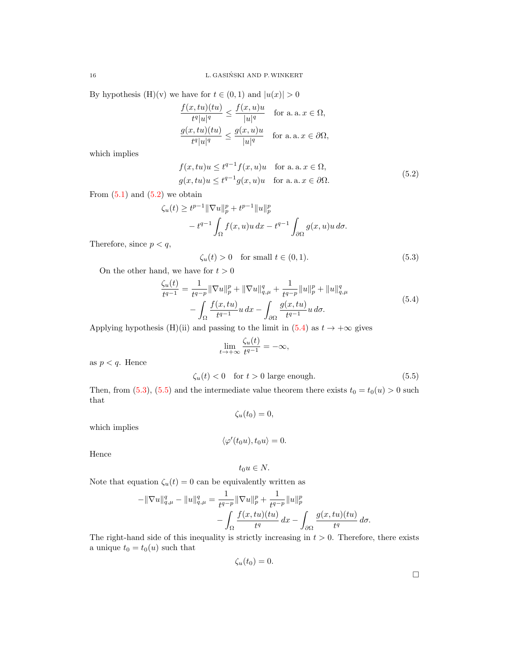By hypothesis (H)(v) we have for  $t \in (0,1)$  and  $|u(x)| > 0$ 

$$
\frac{f(x, tu)(tu)}{t^q |u|^q} \le \frac{f(x, u)u}{|u|^q} \quad \text{for a. a. } x \in \Omega,
$$

$$
\frac{g(x, tu)(tu)}{t^q |u|^q} \le \frac{g(x, u)u}{|u|^q} \quad \text{for a. a. } x \in \partial\Omega,
$$

which implies

$$
f(x, tu)u \le t^{q-1} f(x, u)u \quad \text{for a. a. } x \in \Omega,
$$
  

$$
g(x, tu)u \le t^{q-1} g(x, u)u \quad \text{for a. a. } x \in \partial\Omega.
$$
 (5.2)

From  $(5.1)$  and  $(5.2)$  we obtain

$$
\zeta_u(t) \ge t^{p-1} \|\nabla u\|_p^p + t^{p-1} \|u\|_p^p
$$
  

$$
- t^{q-1} \int_{\Omega} f(x, u)u \, dx - t^{q-1} \int_{\partial \Omega} g(x, u)u \, d\sigma.
$$

Therefore, since  $p < q$ ,

<span id="page-15-2"></span><span id="page-15-0"></span>
$$
\zeta_u(t) > 0 \quad \text{for small } t \in (0, 1). \tag{5.3}
$$

On the other hand, we have for  $t > 0$ 

$$
\frac{\zeta_u(t)}{t^{q-1}} = \frac{1}{t^{q-p}} \|\nabla u\|_p^p + \|\nabla u\|_{q,\mu}^q + \frac{1}{t^{q-p}} \|u\|_p^p + \|u\|_{q,\mu}^q \n- \int_{\Omega} \frac{f(x, tu)}{t^{q-1}} u \, dx - \int_{\partial \Omega} \frac{g(x, tu)}{t^{q-1}} u \, d\sigma.
$$
\n(5.4)

Applying hypothesis (H)(ii) and passing to the limit in [\(5.4\)](#page-15-1) as  $t \to +\infty$  gives

<span id="page-15-1"></span>
$$
\lim_{t \to +\infty} \frac{\zeta_u(t)}{t^{q-1}} = -\infty,
$$

as  $p < q$ . Hence

$$
\zeta_u(t) < 0 \quad \text{for } t > 0 \text{ large enough.} \tag{5.5}
$$

Then, from [\(5.3\)](#page-15-2), [\(5.5\)](#page-15-3) and the intermediate value theorem there exists  $t_0 = t_0(u) > 0$  such that

<span id="page-15-3"></span>
$$
\zeta_u(t_0)=0,
$$

which implies

$$
\langle \varphi'(t_0 u), t_0 u \rangle = 0.
$$

Hence

$$
t_0u\in N.
$$

Note that equation  $\zeta_u(t) = 0$  can be equivalently written as

$$
-\|\nabla u\|_{q,\mu}^q - \|u\|_{q,\mu}^q = \frac{1}{t^{q-p}} \|\nabla u\|_p^p + \frac{1}{t^{q-p}} \|u\|_p^p - \int_{\Omega} \frac{f(x, tu)(tu)}{t^q} dx - \int_{\partial \Omega} \frac{g(x, tu)(tu)}{t^q} d\sigma.
$$

The right-hand side of this inequality is strictly increasing in  $t > 0$ . Therefore, there exists a unique  $t_0 = t_0(u)$  such that

$$
\zeta_u(t_0)=0.
$$

 $\Box$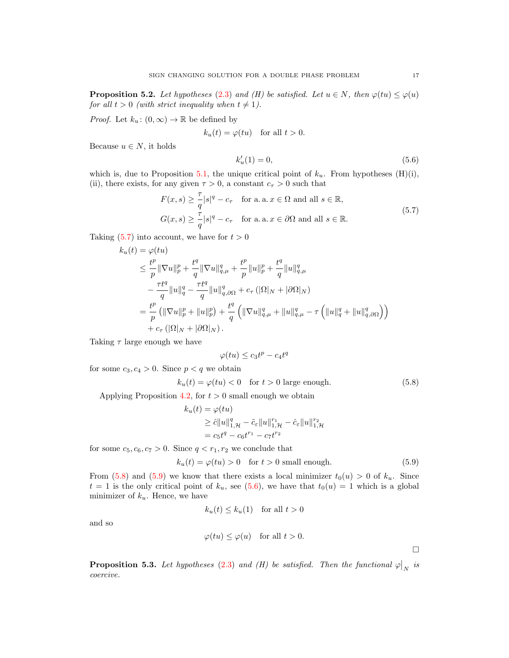<span id="page-16-4"></span>**Proposition 5.2.** Let hypotheses [\(2.3\)](#page-3-0) and (H) be satisfied. Let  $u \in N$ , then  $\varphi(tu) \leq \varphi(u)$ for all  $t > 0$  (with strict inequality when  $t \neq 1$ ).

*Proof.* Let  $k_u: (0, \infty) \to \mathbb{R}$  be defined by

$$
k_u(t) = \varphi(tu) \quad \text{for all } t > 0.
$$

Because  $u \in N$ , it holds

<span id="page-16-3"></span><span id="page-16-0"></span>
$$
k'_u(1) = 0,\t\t(5.6)
$$

which is, due to Proposition [5.1,](#page-14-4) the unique critical point of  $k_u$ . From hypotheses (H)(i), (ii), there exists, for any given  $\tau > 0$ , a constant  $c_{\tau} > 0$  such that

$$
F(x,s) \ge \frac{\tau}{q}|s|^q - c_{\tau} \quad \text{for a. a. } x \in \Omega \text{ and all } s \in \mathbb{R},
$$
  

$$
G(x,s) \ge \frac{\tau}{q}|s|^q - c_{\tau} \quad \text{for a. a. } x \in \partial\Omega \text{ and all } s \in \mathbb{R}.
$$
 (5.7)

Taking  $(5.7)$  into account, we have for  $t > 0$ 

$$
k_{u}(t) = \varphi(tu)
$$
  
\n
$$
\leq \frac{t^{p}}{p} \|\nabla u\|_{p}^{p} + \frac{t^{q}}{q} \|\nabla u\|_{q,\mu}^{q} + \frac{t^{p}}{p} \|u\|_{p}^{p} + \frac{t^{q}}{q} \|u\|_{q,\mu}^{q}
$$
  
\n
$$
- \frac{\tau t^{q}}{q} \|u\|_{q}^{q} - \frac{\tau t^{q}}{q} \|u\|_{q,\partial\Omega}^{q} + c_{\tau} (|\Omega|_{N} + |\partial\Omega|_{N})
$$
  
\n
$$
= \frac{t^{p}}{p} ( \|\nabla u\|_{p}^{p} + \|u\|_{p}^{p} ) + \frac{t^{q}}{q} ( \|\nabla u\|_{q,\mu}^{q} + \|u\|_{q,\mu}^{q} - \tau ( \|u\|_{q}^{q} + \|u\|_{q,\partial\Omega}^{q} ) )
$$
  
\n
$$
+ c_{\tau} (|\Omega|_{N} + |\partial\Omega|_{N}).
$$

Taking  $\tau$  large enough we have

$$
\varphi(tu) \le c_3 t^p - c_4 t^q
$$

for some  $c_3, c_4 > 0$ . Since  $p < q$  we obtain

$$
k_u(t) = \varphi(tu) < 0 \quad \text{for } t > 0 \text{ large enough.} \tag{5.8}
$$

Applying Proposition [4.2,](#page-12-4) for  $t > 0$  small enough we obtain

$$
k_u(t) = \varphi(tu)
$$
  
\n
$$
\geq \hat{c} ||u||_{1,\mathcal{H}}^q - \tilde{c}_{\varepsilon} ||u||_{1,\mathcal{H}}^{r_1} - \hat{c}_{\varepsilon} ||u||_{1,\mathcal{H}}^{r_2}
$$
  
\n
$$
= c_5 t^q - c_6 t^{r_1} - c_7 t^{r_2}
$$

for some  $c_5, c_6, c_7 > 0$ . Since  $q < r_1, r_2$  we conclude that

$$
k_u(t) = \varphi(tu) > 0 \quad \text{for } t > 0 \text{ small enough.} \tag{5.9}
$$

From [\(5.8\)](#page-16-1) and [\(5.9\)](#page-16-2) we know that there exists a local minimizer  $t_0(u) > 0$  of  $k_u$ . Since  $t = 1$  is the only critical point of  $k_u$ , see [\(5.6\)](#page-16-3), we have that  $t_0(u) = 1$  which is a global minimizer of  $k_u$ . Hence, we have

$$
k_u(t) \le k_u(1) \quad \text{for all } t > 0
$$

and so

$$
\varphi(tu) \leq \varphi(u)
$$
 for all  $t > 0$ .

<span id="page-16-2"></span><span id="page-16-1"></span> $\Box$ 

<span id="page-16-5"></span>**Proposition 5.3.** Let hypotheses [\(2.3\)](#page-3-0) and (H) be satisfied. Then the functional  $\varphi|_N$  is coercive.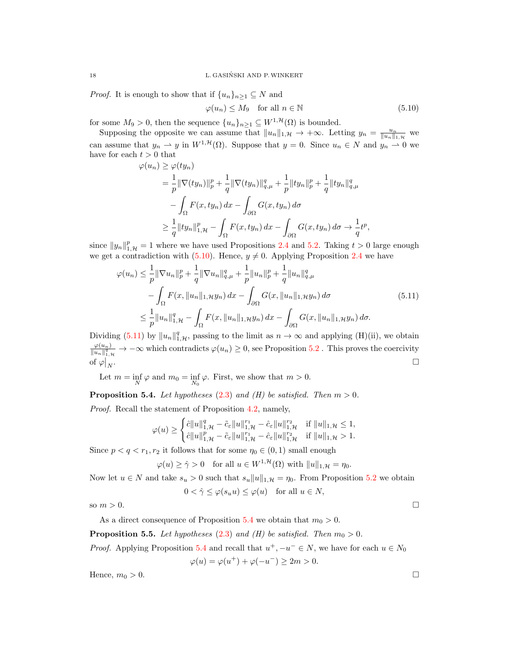18 L. GASIŃSKI AND P. WINKERT

*Proof.* It is enough to show that if  $\{u_n\}_{n\geq 1} \subseteq N$  and

<span id="page-17-1"></span><span id="page-17-0"></span>
$$
\varphi(u_n) \le M_9 \quad \text{for all } n \in \mathbb{N} \tag{5.10}
$$

for some  $M_9 > 0$ , then the sequence  $\{u_n\}_{n\geq 1} \subseteq W^{1,\mathcal{H}}(\Omega)$  is bounded.

Supposing the opposite we can assume that  $||u_n||_{1,\mathcal{H}} \to +\infty$ . Letting  $y_n = \frac{u_n}{||u_n||_{1,\mathcal{H}}}$  we can assume that  $y_n \rightharpoonup y$  in  $W^{1,\mathcal{H}}(\Omega)$ . Suppose that  $y = 0$ . Since  $u_n \in N$  and  $y_n \rightharpoonup 0$  we have for each  $t > 0$  that  $\sqrt{u}$ 

$$
\varphi(u_n) \geq \varphi(ty_n)
$$
  
=  $\frac{1}{p} \|\nabla(ty_n)\|_p^p + \frac{1}{q} \|\nabla(ty_n)\|_{q,\mu}^q + \frac{1}{p} \|ty_n\|_p^p + \frac{1}{q} \|ty_n\|_{q,\mu}^q$   
 $- \int_{\Omega} F(x, ty_n) dx - \int_{\partial\Omega} G(x, ty_n) d\sigma$   
 $\geq \frac{1}{q} \|ty_n\|_{1,\mathcal{H}}^p - \int_{\Omega} F(x, ty_n) dx - \int_{\partial\Omega} G(x, ty_n) d\sigma \to \frac{1}{q} t^p,$ 

since  $||y_n||_{1,\mathcal{H}}^p = 1$  where we have used Propositions [2.4](#page-4-3) and [5.2.](#page-16-4) Taking  $t > 0$  large enough we get a contradiction with [\(5.10\)](#page-17-0). Hence,  $y \neq 0$ . Applying Proposition [2.4](#page-4-3) we have

$$
\varphi(u_n) \leq \frac{1}{p} \|\nabla u_n\|_p^p + \frac{1}{q} \|\nabla u_n\|_{q,\mu}^q + \frac{1}{p} \|u_n\|_p^p + \frac{1}{q} \|u_n\|_{q,\mu}^q
$$
  

$$
- \int_{\Omega} F(x, \|u_n\|_{1,\mathcal{H}} y_n) dx - \int_{\partial \Omega} G(x, \|u_n\|_{1,\mathcal{H}} y_n) d\sigma
$$
  

$$
\leq \frac{1}{p} \|u_n\|_{1,\mathcal{H}}^q - \int_{\Omega} F(x, \|u_n\|_{1,\mathcal{H}} y_n) dx - \int_{\partial \Omega} G(x, \|u_n\|_{1,\mathcal{H}} y_n) d\sigma.
$$
  
(5.11)

Dividing [\(5.11\)](#page-17-1) by  $||u_n||_{1,\mathcal{H}}^q$ , passing to the limit as  $n \to \infty$  and applying (H)(ii), we obtain  $\varphi(u_n)$  $\frac{\varphi(u_n)}{\|u_n\|_{1,\mathcal{H}}^q} \to -\infty$  which contradicts  $\varphi(u_n) \geq 0$ , see Proposition [5.2](#page-16-4). This proves the coercivity of  $\varphi|_N$ .

Let  $m = \inf_{N} \varphi$  and  $m_0 = \inf_{N_0} \varphi$ . First, we show that  $m > 0$ .

<span id="page-17-2"></span>**Proposition 5.4.** Let hypotheses [\(2.3\)](#page-3-0) and (H) be satisfied. Then  $m > 0$ .

Proof. Recall the statement of Proposition [4.2,](#page-12-4) namely,

$$
\varphi(u) \ge \begin{cases} \hat{c} \|u\|_{1,\mathcal{H}}^q - \tilde{c}_{\varepsilon} \|u\|_{1,\mathcal{H}}^{r_1} - \hat{c}_{\varepsilon} \|u\|_{1,\mathcal{H}}^{r_2} & \text{if } \|u\|_{1,\mathcal{H}} \le 1, \\ \hat{c} \|u\|_{1,\mathcal{H}}^p - \tilde{c}_{\varepsilon} \|u\|_{1,\mathcal{H}}^{r_1} - \hat{c}_{\varepsilon} \|u\|_{1,\mathcal{H}}^{r_2} & \text{if } \|u\|_{1,\mathcal{H}} > 1. \end{cases}
$$

Since  $p < q < r_1, r_2$  it follows that for some  $\eta_0 \in (0, 1)$  small enough

$$
\varphi(u) \ge \hat{\gamma} > 0 \quad \text{for all } u \in W^{1, \mathcal{H}}(\Omega) \text{ with } \|u\|_{1, \mathcal{H}} = \eta_0.
$$

Now let  $u \in N$  and take  $s_u > 0$  such that  $s_u ||u||_{1,\mathcal{H}} = \eta_0$ . From Proposition [5.2](#page-16-4) we obtain  $0 < \hat{\gamma} \leq \varphi(s_u u) \leq \varphi(u)$  for all  $u \in N$ ,

so  $m > 0$ .

As a direct consequence of Proposition [5.4](#page-17-2) we obtain that  $m_0 > 0$ .

**Proposition 5.5.** Let hypotheses [\(2.3\)](#page-3-0) and (H) be satisfied. Then  $m_0 > 0$ .

*Proof.* Applying Proposition [5.4](#page-17-2) and recall that  $u^+$ ,  $-u^- \in N$ , we have for each  $u \in N_0$ 

$$
\varphi(u) = \varphi(u^+) + \varphi(-u^-) \ge 2m > 0.
$$

Hence,  $m_0 > 0$ .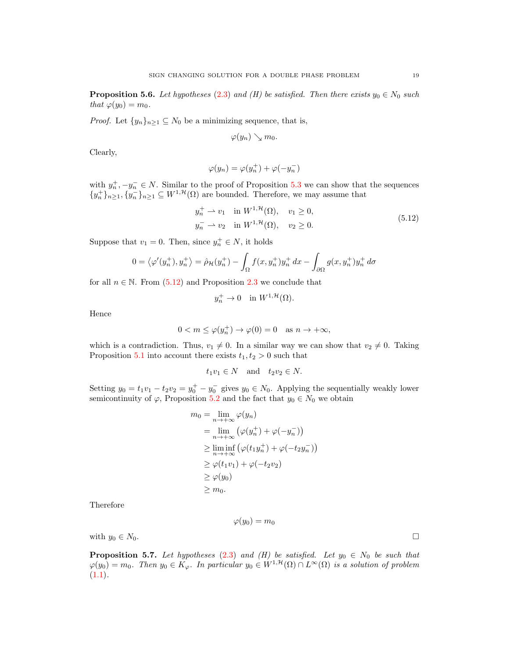<span id="page-18-2"></span>**Proposition 5.6.** Let hypotheses [\(2.3\)](#page-3-0) and (H) be satisfied. Then there exists  $y_0 \in N_0$  such that  $\varphi(y_0) = m_0$ .

*Proof.* Let  $\{y_n\}_{n\geq 1} \subseteq N_0$  be a minimizing sequence, that is,

<span id="page-18-0"></span>
$$
\varphi(y_n)\searrow m_0.
$$

Clearly,

$$
\varphi(y_n)=\varphi(y_n^+)+\varphi(-y_n^-)
$$

with  $y_n^+, -y_n^- \in N$ . Similar to the proof of Proposition [5.3](#page-16-5) we can show that the sequences  $\{y_n^+\}_{n\geq 1}, \{y_n^-\}_{n\geq 1}\subseteq W^{1,\mathcal{H}}(\Omega)$  are bounded. Therefore, we may assume that

$$
y_n^+ \rightharpoonup v_1 \quad \text{in } W^{1, \mathcal{H}}(\Omega), \quad v_1 \ge 0,
$$
  
\n
$$
y_n^- \rightharpoonup v_2 \quad \text{in } W^{1, \mathcal{H}}(\Omega), \quad v_2 \ge 0.
$$
\n(5.12)

Suppose that  $v_1 = 0$ . Then, since  $y_n^+ \in N$ , it holds

$$
0 = \left\langle \varphi'(y_n^+), y_n^+ \right\rangle = \hat{\rho}_{\mathcal{H}}(y_n^+) - \int_{\Omega} f(x, y_n^+) y_n^+ dx - \int_{\partial \Omega} g(x, y_n^+) y_n^+ d\sigma
$$

for all  $n \in \mathbb{N}$ . From  $(5.12)$  and Proposition [2.3](#page-4-4) we conclude that

$$
y_n^+ \to 0 \quad \text{in } W^{1, \mathcal{H}}(\Omega).
$$

Hence

$$
0 < m \le \varphi(y_n^+) \to \varphi(0) = 0 \quad \text{as } n \to +\infty,
$$

which is a contradiction. Thus,  $v_1 \neq 0$ . In a similar way we can show that  $v_2 \neq 0$ . Taking Proposition [5.1](#page-14-4) into account there exists  $t_1, t_2 > 0$  such that

$$
t_1v_1 \in N \quad \text{and} \quad t_2v_2 \in N.
$$

Setting  $y_0 = t_1v_1 - t_2v_2 = y_0^+ - y_0^-$  gives  $y_0 \in N_0$ . Applying the sequentially weakly lower semicontinuity of  $\varphi$ , Proposition [5.2](#page-16-4) and the fact that  $y_0 \in N_0$  we obtain

$$
m_0 = \lim_{n \to +\infty} \varphi(y_n)
$$
  
= 
$$
\lim_{n \to +\infty} (\varphi(y_n^+) + \varphi(-y_n^-))
$$
  

$$
\geq \liminf_{n \to +\infty} (\varphi(t_1y_n^+) + \varphi(-t_2y_n^-))
$$
  

$$
\geq \varphi(t_1v_1) + \varphi(-t_2v_2)
$$
  

$$
\geq \varphi(y_0)
$$
  

$$
\geq m_0.
$$

Therefore

$$
\varphi(y_0)=m_0
$$

with  $y_0 \in N_0$ .

<span id="page-18-1"></span>**Proposition 5.7.** Let hypotheses [\(2.3\)](#page-3-0) and (H) be satisfied. Let  $y_0 \in N_0$  be such that  $\varphi(y_0) = m_0$ . Then  $y_0 \in K_\varphi$ . In particular  $y_0 \in W^{1, \mathcal{H}}(\Omega) \cap L^\infty(\Omega)$  is a solution of problem  $(1.1).$  $(1.1).$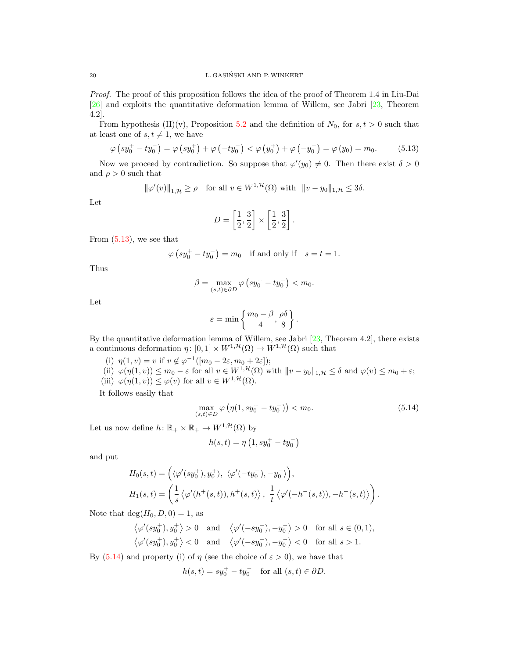Proof. The proof of this proposition follows the idea of the proof of Theorem 1.4 in Liu-Dai [\[26\]](#page-22-17) and exploits the quantitative deformation lemma of Willem, see Jabri [\[23,](#page-21-22) Theorem 4.2].

From hypothesis (H)(v), Proposition [5.2](#page-16-4) and the definition of  $N_0$ , for  $s, t > 0$  such that at least one of  $s, t \neq 1$ , we have

$$
\varphi\left(sy_0^+ - ty_0^-\right) = \varphi\left(sy_0^+\right) + \varphi\left(-ty_0^-\right) < \varphi\left(y_0^+\right) + \varphi\left(-y_0^-\right) = \varphi\left(y_0\right) = m_0. \tag{5.13}
$$

Now we proceed by contradiction. So suppose that  $\varphi'(y_0) \neq 0$ . Then there exist  $\delta > 0$ and  $\rho > 0$  such that

$$
\|\varphi'(v)\|_{1,\mathcal{H}} \ge \rho \quad \text{for all } v \in W^{1,\mathcal{H}}(\Omega) \text{ with } \|v - y_0\|_{1,\mathcal{H}} \le 3\delta.
$$

Let

<span id="page-19-0"></span>
$$
D=\left[\frac{1}{2},\frac{3}{2}\right]\times \left[\frac{1}{2},\frac{3}{2}\right].
$$

From [\(5.13\)](#page-19-0), we see that

$$
\varphi
$$
  $\left(sy_0^+ - ty_0^-\right) = m_0$  if and only if  $s = t = 1$ .

Thus

$$
\beta = \max_{(s,t) \in \partial D} \varphi \left( s y_0^+ - t y_0^- \right) < m_0.
$$

Let

$$
\varepsilon = \min\left\{\frac{m_0 - \beta}{4}, \frac{\rho \delta}{8}\right\}.
$$

By the quantitative deformation lemma of Willem, see Jabri [\[23,](#page-21-22) Theorem 4.2], there exists a continuous deformation  $\eta: [0,1] \times W^{1,\mathcal{H}}(\Omega) \to W^{1,\mathcal{H}}(\Omega)$  such that

(i)  $\eta(1, v) = v$  if  $v \notin \varphi^{-1}([m_0 - 2\varepsilon, m_0 + 2\varepsilon]);$ (ii)  $\varphi(\eta(1,v)) \leq m_0 - \varepsilon$  for all  $v \in W^{1,\mathcal{H}}(\Omega)$  with  $||v - y_0||_{1,\mathcal{H}} \leq \delta$  and  $\varphi(v) \leq m_0 + \varepsilon$ ; (iii)  $\varphi(\eta(1,v)) \leq \varphi(v)$  for all  $v \in W^{1,\mathcal{H}}(\Omega)$ .

It follows easily that

$$
\max_{(s,t)\in D} \varphi \left( \eta(1, sy_0^+ - ty_0^-) \right) < m_0. \tag{5.14}
$$

Let us now define  $h\colon \mathbb{R}_+\times \mathbb{R}_+\to W^{1,\mathcal{H}}(\Omega)$  by

<span id="page-19-1"></span>
$$
h(s,t) = \eta \left( 1, s y_0^+ - t y_0^- \right)
$$

and put

$$
H_0(s,t) = \left( \langle \varphi'(s y_0^+), y_0^+ \rangle, \ \langle \varphi'(-t y_0^-), -y_0^- \rangle \right),
$$
  

$$
H_1(s,t) = \left( \frac{1}{s} \langle \varphi'(h^+(s,t)), h^+(s,t) \rangle, \ \frac{1}{t} \langle \varphi'(-h^-(s,t)), -h^-(s,t) \rangle \right).
$$

Note that  $deg(H_0, D, 0) = 1$ , as

$$
\begin{aligned}\n\langle \varphi'(sy_0^+), y_0^+ \rangle > 0 \quad \text{and} \quad \langle \varphi'(-sy_0^-), -y_0^- \rangle > 0 \quad \text{for all } s \in (0,1), \\
\langle \varphi'(sy_0^+), y_0^+ \rangle < 0 \quad \text{and} \quad \langle \varphi'(-sy_0^-), -y_0^- \rangle < 0 \quad \text{for all } s > 1.\n\end{aligned}
$$

By  $(5.14)$  and property (i) of  $\eta$  (see the choice of  $\varepsilon > 0$ ), we have that

$$
h(s,t) = sy_0^+ - ty_0^- \quad \text{for all } (s,t) \in \partial D.
$$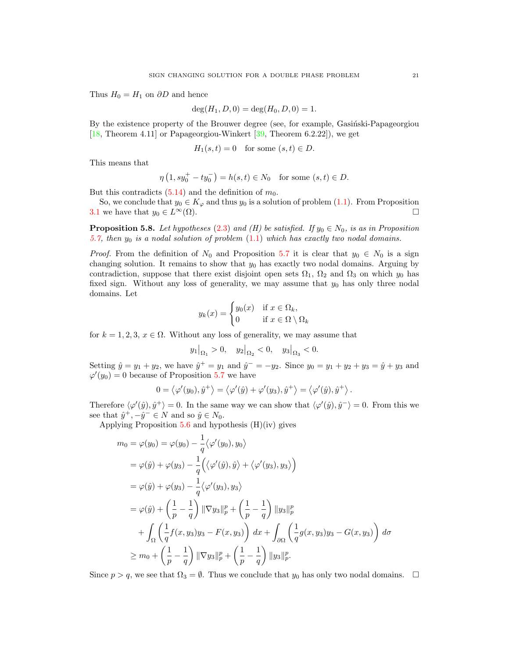Thus  $H_0 = H_1$  on  $\partial D$  and hence

$$
\deg(H_1, D, 0) = \deg(H_0, D, 0) = 1.
$$

By the existence property of the Brouwer degree (see, for example, Gasintski-Papageorgiou [\[18,](#page-21-23) Theorem 4.11] or Papageorgiou-Winkert [\[39,](#page-22-29) Theorem 6.2.22]), we get

$$
H_1(s,t) = 0 \quad \text{for some } (s,t) \in D.
$$

This means that

$$
\eta\left(1, sy_0^+ - ty_0^-\right) = h(s, t) \in N_0 \quad \text{for some } (s, t) \in D.
$$

But this contradicts  $(5.14)$  and the definition of  $m_0$ .

So, we conclude that  $y_0 \in K_{\varphi}$  and thus  $y_0$  is a solution of problem [\(1.1\)](#page-0-0). From Proposition [3.1](#page-6-0) we have that  $y_0 \in L^{\infty}(\Omega)$ .

<span id="page-20-0"></span>**Proposition 5.8.** Let hypotheses [\(2.3\)](#page-3-0) and (H) be satisfied. If  $y_0 \in N_0$ , is as in Proposition [5.7,](#page-18-1) then  $y_0$  is a nodal solution of problem  $(1.1)$  which has exactly two nodal domains.

*Proof.* From the definition of  $N_0$  and Proposition [5.7](#page-18-1) it is clear that  $y_0 \in N_0$  is a sign changing solution. It remains to show that  $y_0$  has exactly two nodal domains. Arguing by contradiction, suppose that there exist disjoint open sets  $\Omega_1$ ,  $\Omega_2$  and  $\Omega_3$  on which  $y_0$  has fixed sign. Without any loss of generality, we may assume that  $y_0$  has only three nodal domains. Let

$$
y_k(x) = \begin{cases} y_0(x) & \text{if } x \in \Omega_k, \\ 0 & \text{if } x \in \Omega \setminus \Omega_k \end{cases}
$$

for  $k = 1, 2, 3, x \in \Omega$ . Without any loss of generality, we may assume that

$$
y_1|_{\Omega_1} > 0
$$
,  $y_2|_{\Omega_2} < 0$ ,  $y_3|_{\Omega_3} < 0$ .

Setting  $\hat{y} = y_1 + y_2$ , we have  $\hat{y}^+ = y_1$  and  $\hat{y}^- = -y_2$ . Since  $y_0 = y_1 + y_2 + y_3 = \hat{y} + y_3$  and  $\varphi'(y_0) = 0$  because of Proposition [5.7](#page-18-1) we have

$$
0 = \langle \varphi'(y_0), \hat{y}^+ \rangle = \langle \varphi'(\hat{y}) + \varphi'(y_3), \hat{y}^+ \rangle = \langle \varphi'(\hat{y}), \hat{y}^+ \rangle.
$$

Therefore  $\langle \varphi'(\hat{y}), \hat{y}^+ \rangle = 0$ . In the same way we can show that  $\langle \varphi'(\hat{y}), \hat{y}^- \rangle = 0$ . From this we see that  $\hat{y}^+$ ,  $-\hat{y}^- \in N$  and so  $\hat{y} \in N_0$ .

Applying Proposition  $5.6$  and hypothesis  $(H)(iv)$  gives

$$
m_0 = \varphi(y_0) = \varphi(y_0) - \frac{1}{q} \langle \varphi'(y_0), y_0 \rangle
$$
  
\n
$$
= \varphi(\hat{y}) + \varphi(y_3) - \frac{1}{q} \Big( \langle \varphi'(\hat{y}), \hat{y} \rangle + \langle \varphi'(y_3), y_3 \rangle \Big)
$$
  
\n
$$
= \varphi(\hat{y}) + \varphi(y_3) - \frac{1}{q} \langle \varphi'(y_3), y_3 \rangle
$$
  
\n
$$
= \varphi(\hat{y}) + \left( \frac{1}{p} - \frac{1}{q} \right) ||\nabla y_3||_p^p + \left( \frac{1}{p} - \frac{1}{q} \right) ||y_3||_p^p
$$
  
\n
$$
+ \int_{\Omega} \left( \frac{1}{q} f(x, y_3) y_3 - F(x, y_3) \right) dx + \int_{\partial \Omega} \left( \frac{1}{q} g(x, y_3) y_3 - G(x, y_3) \right) d\sigma
$$
  
\n
$$
\geq m_0 + \left( \frac{1}{p} - \frac{1}{q} \right) ||\nabla y_3||_p^p + \left( \frac{1}{p} - \frac{1}{q} \right) ||y_3||_p^p.
$$

Since  $p > q$ , we see that  $\Omega_3 = \emptyset$ . Thus we conclude that  $y_0$  has only two nodal domains.  $\Box$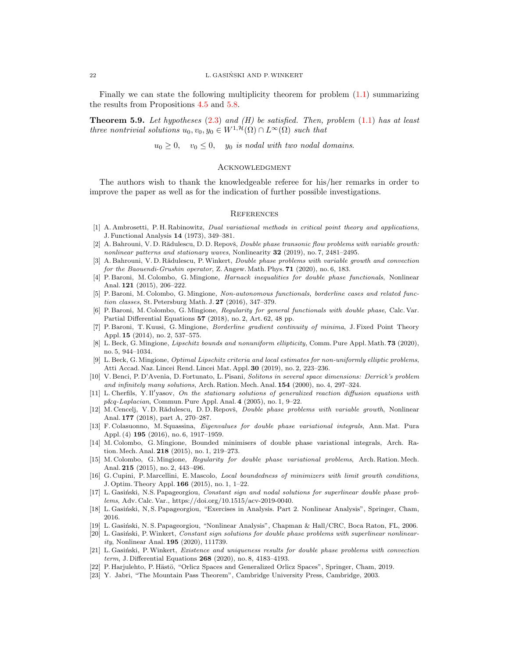### 22 L. GASINSKI AND P.WINKERT ´

Finally we can state the following multiplicity theorem for problem  $(1.1)$  summarizing the results from Propositions [4.5](#page-14-0) and [5.8.](#page-20-0)

<span id="page-21-18"></span>**Theorem 5.9.** Let hypotheses  $(2.3)$  and  $(H)$  be satisfied. Then, problem  $(1.1)$  has at least three nontrivial solutions  $u_0, v_0, y_0 \in W^{1, \mathcal{H}}(\Omega) \cap L^{\infty}(\Omega)$  such that

 $u_0 \geq 0$ ,  $v_0 \leq 0$ ,  $y_0$  is nodal with two nodal domains.

# **ACKNOWLEDGMENT**

The authors wish to thank the knowledgeable referee for his/her remarks in order to improve the paper as well as for the indication of further possible investigations.

### **REFERENCES**

- <span id="page-21-20"></span>[1] A. Ambrosetti, P. H. Rabinowitz, *Dual variational methods in critical point theory and applications*, J. Functional Analysis 14 (1973), 349–381.
- <span id="page-21-9"></span>[2] A. Bahrouni, V. D. Rădulescu, D. D. Repovš, *Double phase transonic flow problems with variable growth:* nonlinear patterns and stationary waves, Nonlinearity 32 (2019), no. 7, 2481–2495.
- <span id="page-21-16"></span>[3] A. Bahrouni, V. D. Rădulescu, P. Winkert, *Double phase problems with variable growth and convection* for the Baouendi-Grushin operator, Z. Angew. Math. Phys. 71 (2020), no. 6, 183.
- <span id="page-21-0"></span>[4] P. Baroni, M. Colombo, G. Mingione, *Harnack inequalities for double phase functionals*, Nonlinear Anal. 121 (2015), 206–222.
- <span id="page-21-1"></span>[5] P. Baroni, M. Colombo, G. Mingione, Non-autonomous functionals, borderline cases and related function classes, St. Petersburg Math. J. 27 (2016), 347–379.
- <span id="page-21-2"></span>[6] P. Baroni, M. Colombo, G. Mingione, Regularity for general functionals with double phase, Calc. Var. Partial Differential Equations 57 (2018), no. 2, Art. 62, 48 pp.
- <span id="page-21-3"></span>[7] P. Baroni, T. Kuusi, G. Mingione, Borderline gradient continuity of minima, J. Fixed Point Theory Appl. 15 (2014), no. 2, 537–575.
- <span id="page-21-7"></span>[8] L. Beck, G. Mingione, Lipschitz bounds and nonuniform ellipticity, Comm. Pure Appl. Math. 73 (2020), no. 5, 944–1034.
- <span id="page-21-8"></span>[9] L. Beck, G. Mingione, Optimal Lipschitz criteria and local estimates for non-uniformly elliptic problems, Atti Accad. Naz. Lincei Rend. Lincei Mat. Appl. 30 (2019), no. 2, 223–236.
- <span id="page-21-10"></span>[10] V. Benci, P. D'Avenia, D. Fortunato, L. Pisani, Solitons in several space dimensions: Derrick's problem and infinitely many solutions, Arch. Ration. Mech. Anal. 154 (2000), no. 4, 297–324.
- <span id="page-21-11"></span>[11] L. Cherfils, Y. Il'yasov, On the stationary solutions of generalized reaction diffusion equations with  $p\&q$ -Laplacian, Commun. Pure Appl. Anal. 4 (2005), no. 1, 9–22.
- <span id="page-21-17"></span>[12] M. Cencelj, V. D. Rădulescu, D. D. Repovš, Double phase problems with variable growth, Nonlinear Anal. 177 (2018), part A, 270–287.
- <span id="page-21-12"></span>[13] F. Colasuonno, M. Squassina, Eigenvalues for double phase variational integrals, Ann. Mat. Pura Appl. (4) 195 (2016), no. 6, 1917–1959.
- <span id="page-21-5"></span>[14] M. Colombo, G. Mingione, Bounded minimisers of double phase variational integrals, Arch. Ration. Mech. Anal. 218 (2015), no. 1, 219–273.
- <span id="page-21-6"></span>[15] M. Colombo, G. Mingione, Regularity for double phase variational problems, Arch. Ration. Mech. Anal. 215 (2015), no. 2, 443–496.
- <span id="page-21-4"></span>[16] G. Cupini, P. Marcellini, E. Mascolo, *Local boundedness of minimizers with limit growth conditions*, J. Optim. Theory Appl. 166 (2015), no. 1, 1–22.
- <span id="page-21-13"></span>[17] L. Gasiński, N.S. Papageorgiou, Constant sign and nodal solutions for superlinear double phase problems, Adv. Calc. Var., https://doi.org/10.1515/acv-2019-0040.
- <span id="page-21-23"></span>[18] L. Gasiński, N. S. Papageorgiou, "Exercises in Analysis. Part 2. Nonlinear Analysis", Springer, Cham, 2016.
- <span id="page-21-21"></span>[19] L. Gasiński, N. S. Papageorgiou, "Nonlinear Analysis", Chapman & Hall/CRC, Boca Raton, FL, 2006.
- <span id="page-21-15"></span>[20] L. Gasiński, P. Winkert, Constant sign solutions for double phase problems with superlinear nonlinearity, Nonlinear Anal. 195 (2020), 111739.
- <span id="page-21-14"></span>[21] L. Gasiński, P. Winkert, Existence and uniqueness results for double phase problems with convection term, J. Differential Equations 268 (2020), no. 8, 4183–4193.
- <span id="page-21-19"></span>[22] P. Harjulehto, P. Hästö, "Orlicz Spaces and Generalized Orlicz Spaces", Springer, Cham, 2019.
- <span id="page-21-22"></span>[23] Y. Jabri, "The Mountain Pass Theorem", Cambridge University Press, Cambridge, 2003.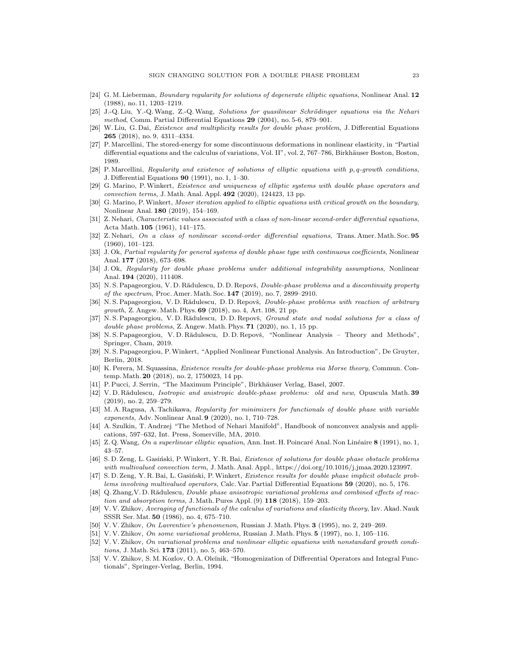- <span id="page-22-10"></span>[24] G. M. Lieberman, *Boundary regularity for solutions of degenerate elliptic equations*, Nonlinear Anal. 12 (1988), no. 11, 1203–1219.
- <span id="page-22-28"></span>[25] J.-Q. Liu, Y.-Q. Wang, Z.-Q. Wang, Solutions for quasilinear Schrödinger equations via the Nehari method, Comm. Partial Differential Equations 29 (2004), no. 5-6, 879–901.
- <span id="page-22-17"></span>[26] W. Liu, G. Dai, Existence and multiplicity results for double phase problem, J. Differential Equations 265 (2018), no. 9, 4311–4334.
- <span id="page-22-4"></span>[27] P. Marcellini, The stored-energy for some discontinuous deformations in nonlinear elasticity, in "Partial differential equations and the calculus of variations, Vol. II", vol. 2, 767–786, Birkhäuser Boston, Boston, 1989.
- <span id="page-22-5"></span>[28] P. Marcellini, Regularity and existence of solutions of elliptic equations with p, q-growth conditions, J. Differential Equations 90 (1991), no. 1, 1–30.
- <span id="page-22-18"></span>[29] G. Marino, P.Winkert, Existence and uniqueness of elliptic systems with double phase operators and convection terms, J. Math. Anal. Appl. 492 (2020), 124423, 13 pp.
- <span id="page-22-26"></span>[30] G. Marino, P.Winkert, Moser iteration applied to elliptic equations with critical growth on the boundary, Nonlinear Anal. 180 (2019), 154–169.
- <span id="page-22-12"></span>[31] Z. Nehari, Characteristic values associated with a class of non-linear second-order differential equations, Acta Math. 105 (1961), 141–175.
- <span id="page-22-13"></span>[32] Z. Nehari, On a class of nonlinear second-order differential equations, Trans. Amer. Math. Soc. 95 (1960), 101–123.
- <span id="page-22-6"></span>[33] J. Ok, Partial regularity for general systems of double phase type with continuous coefficients, Nonlinear Anal. 177 (2018), 673–698.
- <span id="page-22-7"></span>[34] J. Ok, Regularity for double phase problems under additional integrability assumptions, Nonlinear Anal. 194 (2020), 111408.
- <span id="page-22-19"></span>[35] N. S. Papageorgiou, V. D. Rădulescu, D. D. Repovš, *Double-phase problems and a discontinuity property* of the spectrum, Proc. Amer. Math. Soc. 147 (2019), no. 7, 2899–2910.
- <span id="page-22-20"></span>[36] N. S. Papageorgiou, V. D. Rădulescu, D. D. Repovš, Double-phase problems with reaction of arbitrary growth, Z. Angew. Math. Phys. 69 (2018), no. 4, Art. 108, 21 pp.
- <span id="page-22-21"></span>[37] N. S. Papageorgiou, V. D. Rădulescu, D. D. Repovš, Ground state and nodal solutions for a class of double phase problems, Z. Angew. Math. Phys. **71** (2020), no. 1, 15 pp.
- <span id="page-22-27"></span>[38] N. S. Papageorgiou, V. D. Rădulescu, D. D. Repovš, "Nonlinear Analysis – Theory and Methods", Springer, Cham, 2019.
- <span id="page-22-29"></span>[39] N. S. Papageorgiou, P.Winkert, "Applied Nonlinear Functional Analysis. An Introduction", De Gruyter, Berlin, 2018.
- <span id="page-22-16"></span>[40] K. Perera, M. Squassina, Existence results for double-phase problems via Morse theory, Commun. Contemp. Math. 20 (2018), no. 2, 1750023, 14 pp.
- <span id="page-22-11"></span>[41] P. Pucci, J. Serrin, "The Maximum Principle", Birkhäuser Verlag, Basel, 2007.
- <span id="page-22-22"></span>[42] V.D. Rădulescu, Isotropic and anistropic double-phase problems: old and new, Opuscula Math. 39 (2019), no. 2, 259–279.
- <span id="page-22-8"></span>[43] M. A. Ragusa, A. Tachikawa, Regularity for minimizers for functionals of double phase with variable exponents, Adv. Nonlinear Anal. 9 (2020), no. 1, 710–728.
- <span id="page-22-14"></span>[44] A. Szulkin, T. Andrzej "The Method of Nehari Manifold", Handbook of nonconvex analysis and applications, 597–632, Int. Press, Somerville, MA, 2010.
- <span id="page-22-15"></span>[45] Z. Q. Wang, On a superlinear elliptic equation, Ann. Inst. H. Poincaré Anal. Non Linéaire 8 (1991), no. 1, 43–57.
- <span id="page-22-24"></span>[46] S. D. Zeng, L. Gasiński, P. Winkert, Y. R. Bai, Existence of solutions for double phase obstacle problems with multivalued convection term, J. Math. Anal. Appl., https://doi.org/10.1016/j.jmaa.2020.123997.
- <span id="page-22-25"></span>[47] S.D. Zeng, Y. R. Bai, L. Gasiński, P. Winkert, Existence results for double phase implicit obstacle problems involving multivalued operators, Calc. Var. Partial Differential Equations 59 (2020), no. 5, 176.
- <span id="page-22-23"></span>[48] Q. Zhang, V. D. Rădulescu, *Double phase anisotropic variational problems and combined effects of reac*tion and absorption terms, J. Math. Pures Appl. (9) 118 (2018), 159–203.
- <span id="page-22-0"></span>[49] V. V. Zhikov, Averaging of functionals of the calculus of variations and elasticity theory, Izv. Akad. Nauk SSSR Ser. Mat. 50 (1986), no. 4, 675–710.
- <span id="page-22-1"></span>[50] V.V. Zhikov, On Lavrentiev's phenomenon, Russian J. Math. Phys. **3** (1995), no. 2, 249–269.
- <span id="page-22-2"></span>[51] V. V. Zhikov, On some variational problems, Russian J. Math. Phys. 5 (1997), no. 1, 105–116.
- <span id="page-22-9"></span>[52] V. V. Zhikov, On variational problems and nonlinear elliptic equations with nonstandard growth conditions, J. Math. Sci. 173 (2011), no. 5, 463–570.
- <span id="page-22-3"></span>[53] V. V. Zhikov, S. M. Kozlov, O. A. Oleĭnik, "Homogenization of Differential Operators and Integral Functionals", Springer-Verlag, Berlin, 1994.